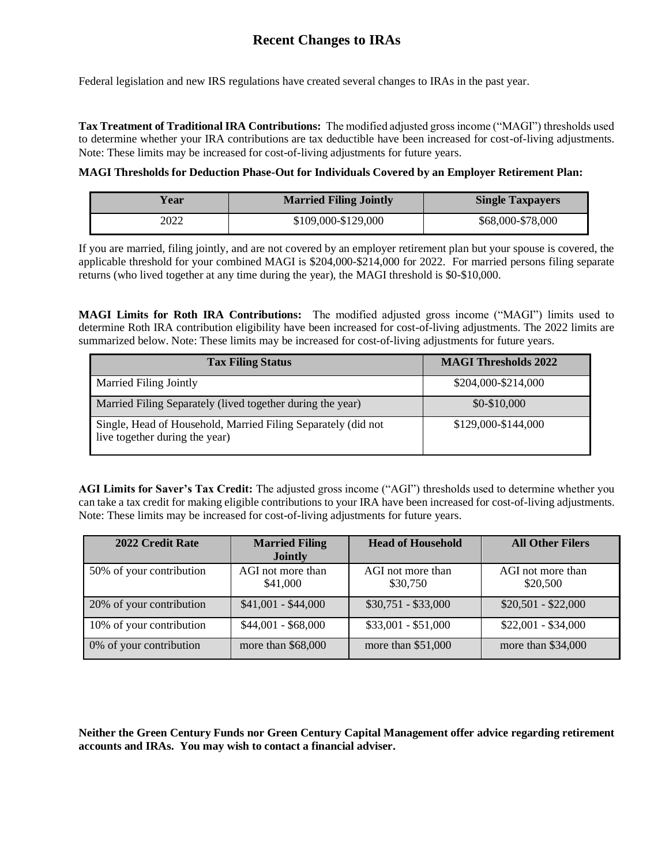# **Recent Changes to IRAs**

Federal legislation and new IRS regulations have created several changes to IRAs in the past year.

**Tax Treatment of Traditional IRA Contributions:** The modified adjusted gross income ("MAGI") thresholds used to determine whether your IRA contributions are tax deductible have been increased for cost-of-living adjustments. Note: These limits may be increased for cost-of-living adjustments for future years.

# **MAGI Thresholds for Deduction Phase-Out for Individuals Covered by an Employer Retirement Plan:**

| <b>Married Filing Jointly</b><br>Y ear |                     | <b>Single Taxpayers</b> |  |
|----------------------------------------|---------------------|-------------------------|--|
| 2022                                   | \$109,000-\$129,000 | \$68,000-\$78,000       |  |

If you are married, filing jointly, and are not covered by an employer retirement plan but your spouse is covered, the applicable threshold for your combined MAGI is \$204,000-\$214,000 for 2022. For married persons filing separate returns (who lived together at any time during the year), the MAGI threshold is \$0-\$10,000.

**MAGI Limits for Roth IRA Contributions:** The modified adjusted gross income ("MAGI") limits used to determine Roth IRA contribution eligibility have been increased for cost-of-living adjustments. The 2022 limits are summarized below. Note: These limits may be increased for cost-of-living adjustments for future years.

| <b>Tax Filing Status</b>                                                                        | <b>MAGI Thresholds 2022</b> |
|-------------------------------------------------------------------------------------------------|-----------------------------|
| Married Filing Jointly                                                                          | \$204,000-\$214,000         |
| Married Filing Separately (lived together during the year)                                      | $$0-$10,000$                |
| Single, Head of Household, Married Filing Separately (did not<br>live together during the year) | \$129,000-\$144,000         |

**AGI Limits for Saver's Tax Credit:** The adjusted gross income ("AGI") thresholds used to determine whether you can take a tax credit for making eligible contributions to your IRA have been increased for cost-of-living adjustments. Note: These limits may be increased for cost-of-living adjustments for future years.

| 2022 Credit Rate         | <b>Married Filing</b><br><b>Jointly</b> | <b>Head of Household</b>      | <b>All Other Filers</b>       |
|--------------------------|-----------------------------------------|-------------------------------|-------------------------------|
| 50% of your contribution | AGI not more than<br>\$41,000           | AGI not more than<br>\$30,750 | AGI not more than<br>\$20,500 |
| 20% of your contribution | $$41,001 - $44,000$                     | $$30,751 - $33,000$           | $$20,501 - $22,000$           |
| 10% of your contribution | $$44,001 - $68,000$                     | $$33,001 - $51,000$           | $$22,001 - $34,000$           |
| 0% of your contribution  | more than \$68,000                      | more than \$51,000            | more than $$34,000$           |

**Neither the Green Century Funds nor Green Century Capital Management offer advice regarding retirement accounts and IRAs. You may wish to contact a financial adviser.**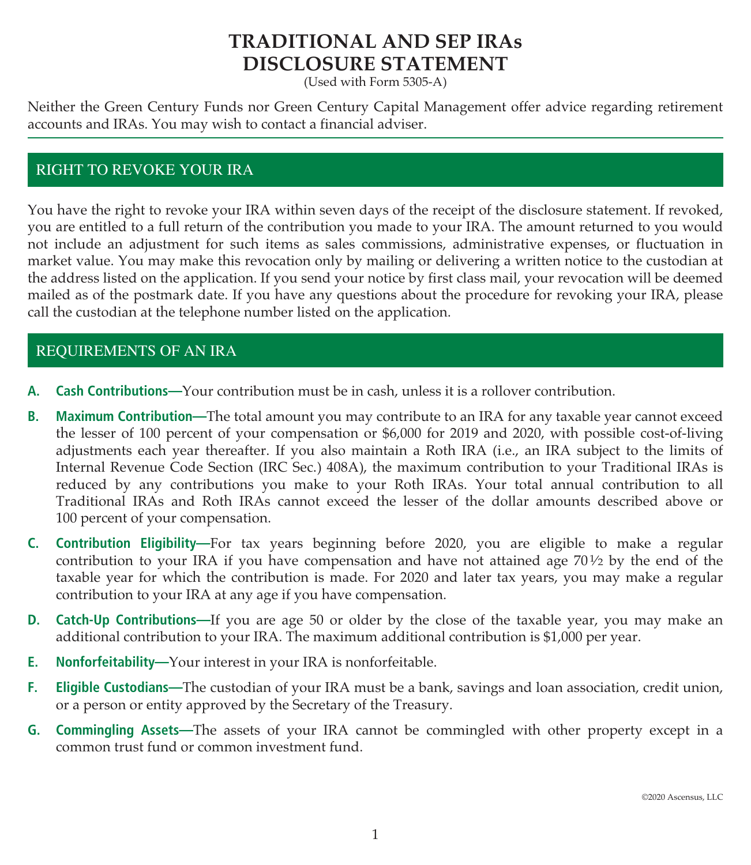# **TRADITIONAL AND SEP IRAs DISCLOSURE STATEMENT**

(Used with Form 5305-A)

Neither the Green Century Funds nor Green Century Capital Management offer advice regarding retirement accounts and IRAs. You may wish to contact a financial adviser.

# RIGHT TO REVOKE YOUR IRA

You have the right to revoke your IRA within seven days of the receipt of the disclosure statement. If revoked, you are entitled to a full return of the contribution you made to your IRA. The amount returned to you would not include an adjustment for such items as sales commissions, administrative expenses, or fluctuation in market value. You may make this revocation only by mailing or delivering a written notice to the custodian at the address listed on the application. If you send your notice by first class mail, your revocation will be deemed mailed as of the postmark date. If you have any questions about the procedure for revoking your IRA, please call the custodian at the telephone number listed on the application.

# REQUIREMENTS OF AN IRA

- **A. Cash Contributions—**Your contribution must be in cash, unless it is a rollover contribution.
- **B. Maximum Contribution—**The total amount you may contribute to an IRA for any taxable year cannot exceed the lesser of 100 percent of your compensation or \$6,000 for 2019 and 2020, with possible cost-of-living adjustments each year thereafter. If you also maintain a Roth IRA (i.e., an IRA subject to the limits of Internal Revenue Code Section (IRC Sec.) 408A), the maximum contribution to your Traditional IRAs is reduced by any contributions you make to your Roth IRAs. Your total annual contribution to all Traditional IRAs and Roth IRAs cannot exceed the lesser of the dollar amounts described above or 100 percent of your compensation.
- **C. Contribution Eligibility—**For tax years beginning before 2020, you are eligible to make a regular contribution to your IRA if you have compensation and have not attained age  $70\frac{1}{2}$  by the end of the taxable year for which the contribution is made. For 2020 and later tax years, you may make a regular contribution to your IRA at any age if you have compensation.
- **D. Catch-Up Contributions—**If you are age 50 or older by the close of the taxable year, you may make an additional contribution to your IRA. The maximum additional contribution is \$1,000 per year.
- **E. Nonforfeitability—**Your interest in your IRA is nonforfeitable.
- **F. Eligible Custodians—**The custodian of your IRA must be a bank, savings and loan association, credit union, or a person or entity approved by the Secretary of the Treasury.
- **G. Commingling Assets—**The assets of your IRA cannot be commingled with other property except in a common trust fund or common investment fund.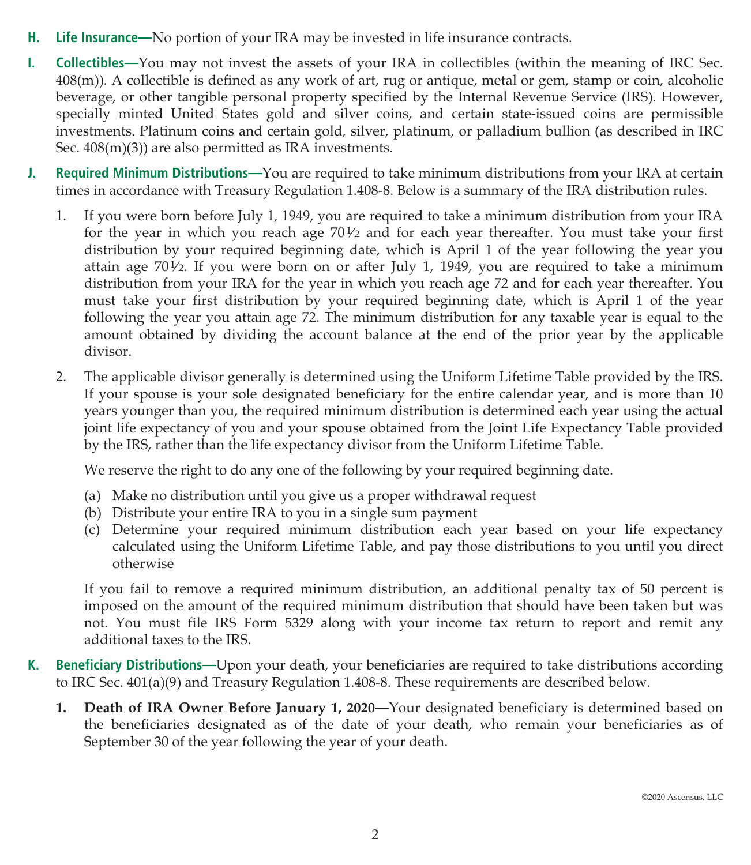- **H. Life Insurance—**No portion of your IRA may be invested in life insurance contracts.
- **I. Collectibles—**You may not invest the assets of your IRA in collectibles (within the meaning of IRC Sec. 408(m)). A collectible is defined as any work of art, rug or antique, metal or gem, stamp or coin, alcoholic beverage, or other tangible personal property specified by the Internal Revenue Service (IRS). However, specially minted United States gold and silver coins, and certain state-issued coins are permissible investments. Platinum coins and certain gold, silver, platinum, or palladium bullion (as described in IRC Sec. 408(m)(3)) are also permitted as IRA investments.
- **J. Required Minimum Distributions—**You are required to take minimum distributions from your IRA at certain times in accordance with Treasury Regulation 1.408-8. Below is a summary of the IRA distribution rules.
	- 1. If you were born before July 1, 1949, you are required to take a minimum distribution from your IRA for the year in which you reach age  $70\frac{1}{2}$  and for each year thereafter. You must take your first distribution by your required beginning date, which is April 1 of the year following the year you attain age  $70\frac{1}{2}$ . If you were born on or after July 1, 1949, you are required to take a minimum distribution from your IRA for the year in which you reach age 72 and for each year thereafter. You must take your first distribution by your required beginning date, which is April 1 of the year following the year you attain age 72. The minimum distribution for any taxable year is equal to the amount obtained by dividing the account balance at the end of the prior year by the applicable divisor.
	- 2. The applicable divisor generally is determined using the Uniform Lifetime Table provided by the IRS. If your spouse is your sole designated beneficiary for the entire calendar year, and is more than 10 years younger than you, the required minimum distribution is determined each year using the actual joint life expectancy of you and your spouse obtained from the Joint Life Expectancy Table provided by the IRS, rather than the life expectancy divisor from the Uniform Lifetime Table.

We reserve the right to do any one of the following by your required beginning date.

- (a) Make no distribution until you give us a proper withdrawal request
- (b) Distribute your entire IRA to you in a single sum payment
- (c) Determine your required minimum distribution each year based on your life expectancy calculated using the Uniform Lifetime Table, and pay those distributions to you until you direct otherwise

If you fail to remove a required minimum distribution, an additional penalty tax of 50 percent is imposed on the amount of the required minimum distribution that should have been taken but was not. You must file IRS Form 5329 along with your income tax return to report and remit any additional taxes to the IRS.

- **K. Beneficiary Distributions—**Upon your death, your beneficiaries are required to take distributions according to IRC Sec. 401(a)(9) and Treasury Regulation 1.408-8. These requirements are described below.
	- **1. Death of IRA Owner Before January 1, 2020—**Your designated beneficiary is determined based on the beneficiaries designated as of the date of your death, who remain your beneficiaries as of September 30 of the year following the year of your death.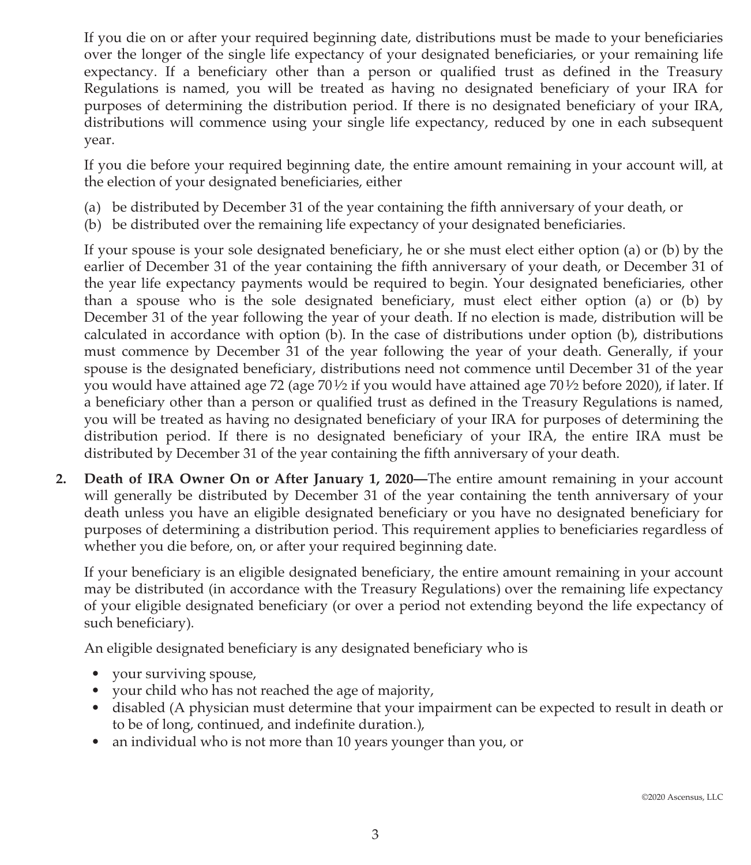If you die on or after your required beginning date, distributions must be made to your beneficiaries over the longer of the single life expectancy of your designated beneficiaries, or your remaining life expectancy. If a beneficiary other than a person or qualified trust as defined in the Treasury Regulations is named, you will be treated as having no designated beneficiary of your IRA for purposes of determining the distribution period. If there is no designated beneficiary of your IRA, distributions will commence using your single life expectancy, reduced by one in each subsequent year.

If you die before your required beginning date, the entire amount remaining in your account will, at the election of your designated beneficiaries, either

- (a) be distributed by December 31 of the year containing the fifth anniversary of your death, or
- (b) be distributed over the remaining life expectancy of your designated beneficiaries.

If your spouse is your sole designated beneficiary, he or she must elect either option (a) or (b) by the earlier of December 31 of the year containing the fifth anniversary of your death, or December 31 of the year life expectancy payments would be required to begin. Your designated beneficiaries, other than a spouse who is the sole designated beneficiary, must elect either option (a) or (b) by December 31 of the year following the year of your death. If no election is made, distribution will be calculated in accordance with option (b). In the case of distributions under option (b), distributions must commence by December 31 of the year following the year of your death. Generally, if your spouse is the designated beneficiary, distributions need not commence until December 31 of the year you would have attained age 72 (age 701⁄2 if you would have attained age 701⁄2 before 2020), if later. If a beneficiary other than a person or qualified trust as defined in the Treasury Regulations is named, you will be treated as having no designated beneficiary of your IRA for purposes of determining the distribution period. If there is no designated beneficiary of your IRA, the entire IRA must be distributed by December 31 of the year containing the fifth anniversary of your death.

**2. Death of IRA Owner On or After January 1, 2020—**The entire amount remaining in your account will generally be distributed by December 31 of the year containing the tenth anniversary of your death unless you have an eligible designated beneficiary or you have no designated beneficiary for purposes of determining a distribution period. This requirement applies to beneficiaries regardless of whether you die before, on, or after your required beginning date.

If your beneficiary is an eligible designated beneficiary, the entire amount remaining in your account may be distributed (in accordance with the Treasury Regulations) over the remaining life expectancy of your eligible designated beneficiary (or over a period not extending beyond the life expectancy of such beneficiary).

An eligible designated beneficiary is any designated beneficiary who is

- your surviving spouse,
- your child who has not reached the age of majority,
- disabled (A physician must determine that your impairment can be expected to result in death or to be of long, continued, and indefinite duration.),
- an individual who is not more than 10 years younger than you, or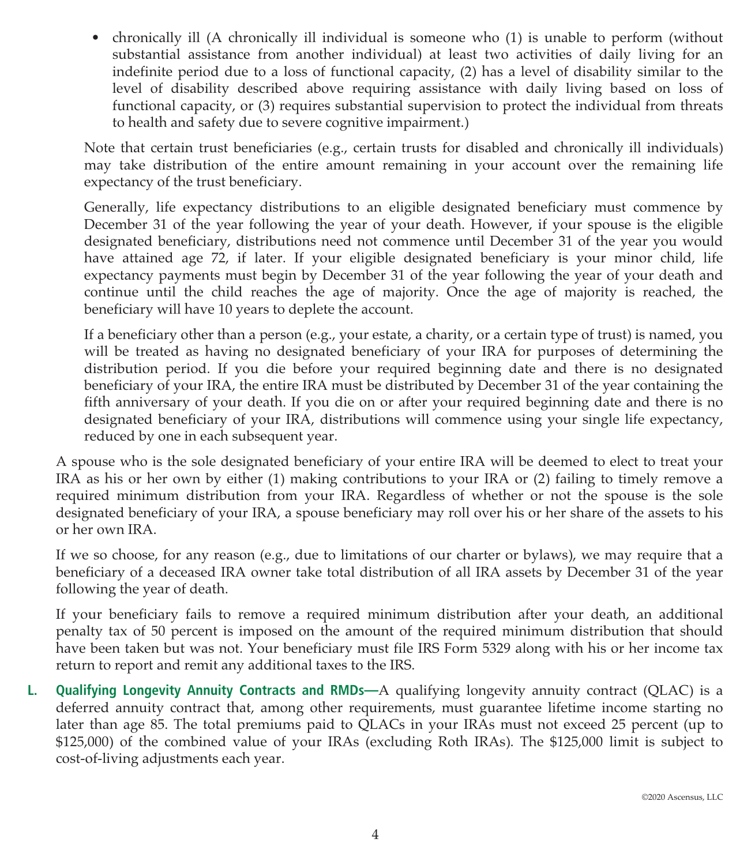• chronically ill (A chronically ill individual is someone who (1) is unable to perform (without substantial assistance from another individual) at least two activities of daily living for an indefinite period due to a loss of functional capacity, (2) has a level of disability similar to the level of disability described above requiring assistance with daily living based on loss of functional capacity, or (3) requires substantial supervision to protect the individual from threats to health and safety due to severe cognitive impairment.)

Note that certain trust beneficiaries (e.g., certain trusts for disabled and chronically ill individuals) may take distribution of the entire amount remaining in your account over the remaining life expectancy of the trust beneficiary.

Generally, life expectancy distributions to an eligible designated beneficiary must commence by December 31 of the year following the year of your death. However, if your spouse is the eligible designated beneficiary, distributions need not commence until December 31 of the year you would have attained age 72, if later. If your eligible designated beneficiary is your minor child, life expectancy payments must begin by December 31 of the year following the year of your death and continue until the child reaches the age of majority. Once the age of majority is reached, the beneficiary will have 10 years to deplete the account.

If a beneficiary other than a person (e.g., your estate, a charity, or a certain type of trust) is named, you will be treated as having no designated beneficiary of your IRA for purposes of determining the distribution period. If you die before your required beginning date and there is no designated beneficiary of your IRA, the entire IRA must be distributed by December 31 of the year containing the fifth anniversary of your death. If you die on or after your required beginning date and there is no designated beneficiary of your IRA, distributions will commence using your single life expectancy, reduced by one in each subsequent year.

A spouse who is the sole designated beneficiary of your entire IRA will be deemed to elect to treat your IRA as his or her own by either (1) making contributions to your IRA or (2) failing to timely remove a required minimum distribution from your IRA. Regardless of whether or not the spouse is the sole designated beneficiary of your IRA, a spouse beneficiary may roll over his or her share of the assets to his or her own IRA.

If we so choose, for any reason (e.g., due to limitations of our charter or bylaws), we may require that a beneficiary of a deceased IRA owner take total distribution of all IRA assets by December 31 of the year following the year of death.

If your beneficiary fails to remove a required minimum distribution after your death, an additional penalty tax of 50 percent is imposed on the amount of the required minimum distribution that should have been taken but was not. Your beneficiary must file IRS Form 5329 along with his or her income tax return to report and remit any additional taxes to the IRS.

**L. Qualifying Longevity Annuity Contracts and RMDs—**A qualifying longevity annuity contract (QLAC) is a deferred annuity contract that, among other requirements, must guarantee lifetime income starting no later than age 85. The total premiums paid to QLACs in your IRAs must not exceed 25 percent (up to \$125,000) of the combined value of your IRAs (excluding Roth IRAs). The \$125,000 limit is subject to cost-of-living adjustments each year.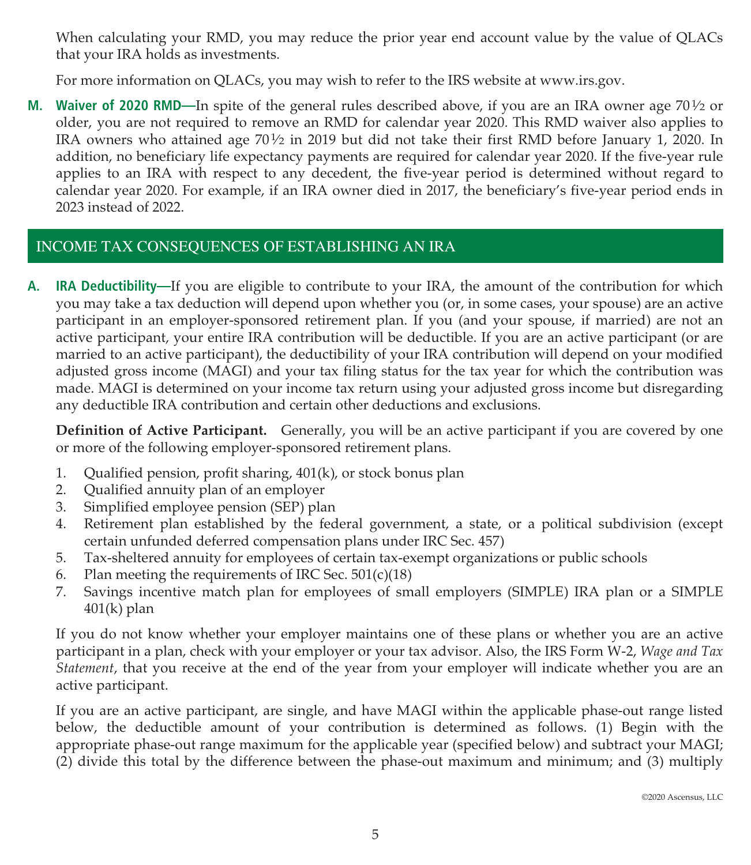When calculating your RMD, you may reduce the prior year end account value by the value of QLACs that your IRA holds as investments.

For more information on QLACs, you may wish to refer to the IRS website at www.irs.gov.

**M.** Waiver of 2020 RMD—In spite of the general rules described above, if you are an IRA owner age 70½ or older, you are not required to remove an RMD for calendar year 2020. This RMD waiver also applies to IRA owners who attained age  $70\frac{1}{2}$  in 2019 but did not take their first RMD before January 1, 2020. In addition, no beneficiary life expectancy payments are required for calendar year 2020. If the five-year rule applies to an IRA with respect to any decedent, the five-year period is determined without regard to calendar year 2020. For example, if an IRA owner died in 2017, the beneficiary's five-year period ends in 2023 instead of 2022.

# INCOME TAX CONSEQUENCES OF ESTABLISHING AN IRA

**A. IRA Deductibility—**If you are eligible to contribute to your IRA, the amount of the contribution for which you may take a tax deduction will depend upon whether you (or, in some cases, your spouse) are an active participant in an employer-sponsored retirement plan. If you (and your spouse, if married) are not an active participant, your entire IRA contribution will be deductible. If you are an active participant (or are married to an active participant), the deductibility of your IRA contribution will depend on your modified adjusted gross income (MAGI) and your tax filing status for the tax year for which the contribution was made. MAGI is determined on your income tax return using your adjusted gross income but disregarding any deductible IRA contribution and certain other deductions and exclusions.

**Definition of Active Participant.** Generally, you will be an active participant if you are covered by one or more of the following employer-sponsored retirement plans.

- 1. Qualified pension, profit sharing, 401(k), or stock bonus plan
- 2. Qualified annuity plan of an employer
- 3. Simplified employee pension (SEP) plan
- 4. Retirement plan established by the federal government, a state, or a political subdivision (except certain unfunded deferred compensation plans under IRC Sec. 457)
- 5. Tax-sheltered annuity for employees of certain tax-exempt organizations or public schools
- 6. Plan meeting the requirements of IRC Sec.  $501(c)(18)$
- 7. Savings incentive match plan for employees of small employers (SIMPLE) IRA plan or a SIMPLE 401(k) plan

If you do not know whether your employer maintains one of these plans or whether you are an active participant in a plan, check with your employer or your tax advisor. Also, the IRS Form W-2, *Wage and Tax Statement*, that you receive at the end of the year from your employer will indicate whether you are an active participant.

If you are an active participant, are single, and have MAGI within the applicable phase-out range listed below, the deductible amount of your contribution is determined as follows. (1) Begin with the appropriate phase-out range maximum for the applicable year (specified below) and subtract your MAGI; (2) divide this total by the difference between the phase-out maximum and minimum; and (3) multiply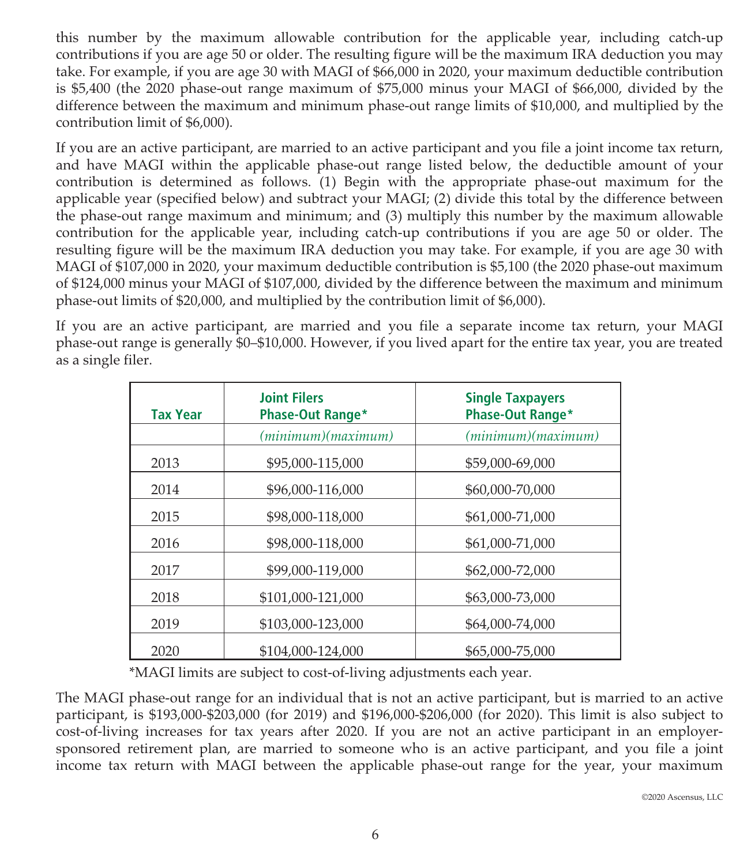this number by the maximum allowable contribution for the applicable year, including catch-up contributions if you are age 50 or older. The resulting figure will be the maximum IRA deduction you may take. For example, if you are age 30 with MAGI of \$66,000 in 2020, your maximum deductible contribution is \$5,400 (the 2020 phase-out range maximum of \$75,000 minus your MAGI of \$66,000, divided by the difference between the maximum and minimum phase-out range limits of \$10,000, and multiplied by the contribution limit of \$6,000).

If you are an active participant, are married to an active participant and you file a joint income tax return, and have MAGI within the applicable phase-out range listed below, the deductible amount of your contribution is determined as follows. (1) Begin with the appropriate phase-out maximum for the applicable year (specified below) and subtract your MAGI; (2) divide this total by the difference between the phase-out range maximum and minimum; and (3) multiply this number by the maximum allowable contribution for the applicable year, including catch-up contributions if you are age 50 or older. The resulting figure will be the maximum IRA deduction you may take. For example, if you are age 30 with MAGI of \$107,000 in 2020, your maximum deductible contribution is \$5,100 (the 2020 phase-out maximum of \$124,000 minus your MAGI of \$107,000, divided by the difference between the maximum and minimum phase-out limits of \$20,000, and multiplied by the contribution limit of \$6,000).

If you are an active participant, are married and you file a separate income tax return, your MAGI phase-out range is generally \$0–\$10,000. However, if you lived apart for the entire tax year, you are treated as a single filer.

| <b>Tax Year</b> | <b>Joint Filers</b><br><b>Phase-Out Range*</b> | <b>Single Taxpayers</b><br><b>Phase-Out Range*</b> |
|-----------------|------------------------------------------------|----------------------------------------------------|
|                 | (minimum)(maximum)                             | (minimum)(maximum)                                 |
| 2013            | \$95,000-115,000                               | \$59,000-69,000                                    |
| 2014            | \$96,000-116,000                               | \$60,000-70,000                                    |
| 2015            | \$98,000-118,000                               | \$61,000-71,000                                    |
| 2016            | \$98,000-118,000                               | \$61,000-71,000                                    |
| 2017            | \$99,000-119,000                               | \$62,000-72,000                                    |
| 2018            | \$101,000-121,000                              | \$63,000-73,000                                    |
| 2019            | \$103,000-123,000                              | \$64,000-74,000                                    |
| 2020            | \$104,000-124,000                              | \$65,000-75,000                                    |

\*MAGI limits are subject to cost-of-living adjustments each year.

The MAGI phase-out range for an individual that is not an active participant, but is married to an active participant, is \$193,000-\$203,000 (for 2019) and \$196,000-\$206,000 (for 2020). This limit is also subject to cost-of-living increases for tax years after 2020. If you are not an active participant in an employersponsored retirement plan, are married to someone who is an active participant, and you file a joint income tax return with MAGI between the applicable phase-out range for the year, your maximum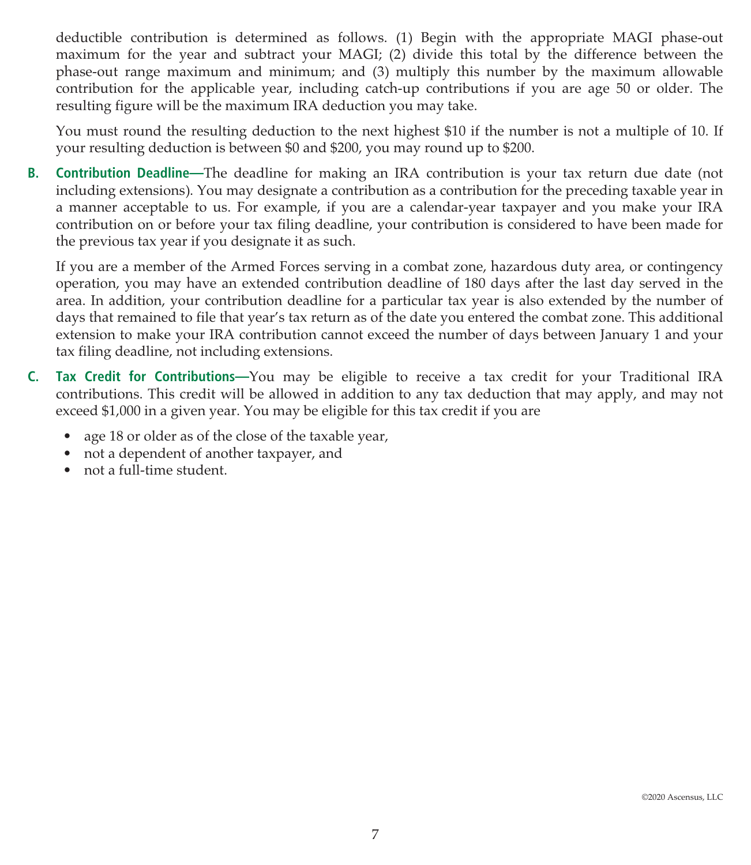deductible contribution is determined as follows. (1) Begin with the appropriate MAGI phase-out maximum for the year and subtract your MAGI; (2) divide this total by the difference between the phase-out range maximum and minimum; and (3) multiply this number by the maximum allowable contribution for the applicable year, including catch-up contributions if you are age 50 or older. The resulting figure will be the maximum IRA deduction you may take.

You must round the resulting deduction to the next highest \$10 if the number is not a multiple of 10. If your resulting deduction is between \$0 and \$200, you may round up to \$200.

**B. Contribution Deadline—**The deadline for making an IRA contribution is your tax return due date (not including extensions). You may designate a contribution as a contribution for the preceding taxable year in a manner acceptable to us. For example, if you are a calendar-year taxpayer and you make your IRA contribution on or before your tax filing deadline, your contribution is considered to have been made for the previous tax year if you designate it as such.

If you are a member of the Armed Forces serving in a combat zone, hazardous duty area, or contingency operation, you may have an extended contribution deadline of 180 days after the last day served in the area. In addition, your contribution deadline for a particular tax year is also extended by the number of days that remained to file that year's tax return as of the date you entered the combat zone. This additional extension to make your IRA contribution cannot exceed the number of days between January 1 and your tax filing deadline, not including extensions.

- **C. Tax Credit for Contributions—**You may be eligible to receive a tax credit for your Traditional IRA contributions. This credit will be allowed in addition to any tax deduction that may apply, and may not exceed \$1,000 in a given year. You may be eligible for this tax credit if you are
	- age 18 or older as of the close of the taxable year,
	- not a dependent of another taxpayer, and
	- not a full-time student.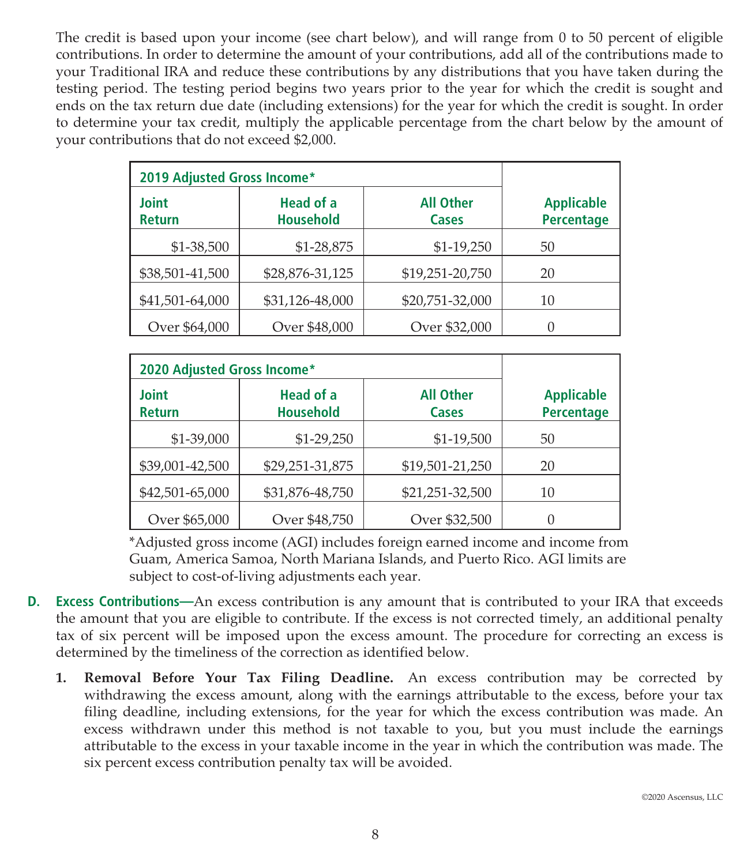The credit is based upon your income (see chart below), and will range from 0 to 50 percent of eligible contributions. In order to determine the amount of your contributions, add all of the contributions made to your Traditional IRA and reduce these contributions by any distributions that you have taken during the testing period. The testing period begins two years prior to the year for which the credit is sought and ends on the tax return due date (including extensions) for the year for which the credit is sought. In order to determine your tax credit, multiply the applicable percentage from the chart below by the amount of your contributions that do not exceed \$2,000.

| 2019 Adjusted Gross Income*   |                               |                           |                                        |
|-------------------------------|-------------------------------|---------------------------|----------------------------------------|
| <b>Joint</b><br><b>Return</b> | Head of a<br><b>Household</b> | <b>All Other</b><br>Cases | <b>Applicable</b><br><b>Percentage</b> |
| \$1-38,500                    | \$1-28,875                    | $$1-19,250$               | 50                                     |
| \$38,501-41,500               | \$28,876-31,125               | \$19,251-20,750           | 20                                     |
| \$41,501-64,000               | \$31,126-48,000               | \$20,751-32,000           | 10                                     |
| Over \$64,000                 | Over \$48,000                 | Over \$32,000             |                                        |

| 2020 Adjusted Gross Income*   |                                      |                           |                                        |
|-------------------------------|--------------------------------------|---------------------------|----------------------------------------|
| <b>Joint</b><br><b>Return</b> | <b>Head of a</b><br><b>Household</b> | <b>All Other</b><br>Cases | <b>Applicable</b><br><b>Percentage</b> |
| \$1-39,000                    | \$1-29,250                           | \$1-19,500                | 50                                     |
| \$39,001-42,500               | \$29,251-31,875                      | \$19,501-21,250           | 20                                     |
| \$42,501-65,000               | \$31,876-48,750                      | \$21,251-32,500           | 10                                     |
| Over \$65,000                 | Over \$48,750                        | Over \$32,500             |                                        |

\*Adjusted gross income (AGI) includes foreign earned income and income from Guam, America Samoa, North Mariana Islands, and Puerto Rico. AGI limits are subject to cost-of-living adjustments each year.

- **D. Excess Contributions—**An excess contribution is any amount that is contributed to your IRA that exceeds the amount that you are eligible to contribute. If the excess is not corrected timely, an additional penalty tax of six percent will be imposed upon the excess amount. The procedure for correcting an excess is determined by the timeliness of the correction as identified below.
	- **1. Removal Before Your Tax Filing Deadline.** An excess contribution may be corrected by withdrawing the excess amount, along with the earnings attributable to the excess, before your tax filing deadline, including extensions, for the year for which the excess contribution was made. An excess withdrawn under this method is not taxable to you, but you must include the earnings attributable to the excess in your taxable income in the year in which the contribution was made. The six percent excess contribution penalty tax will be avoided.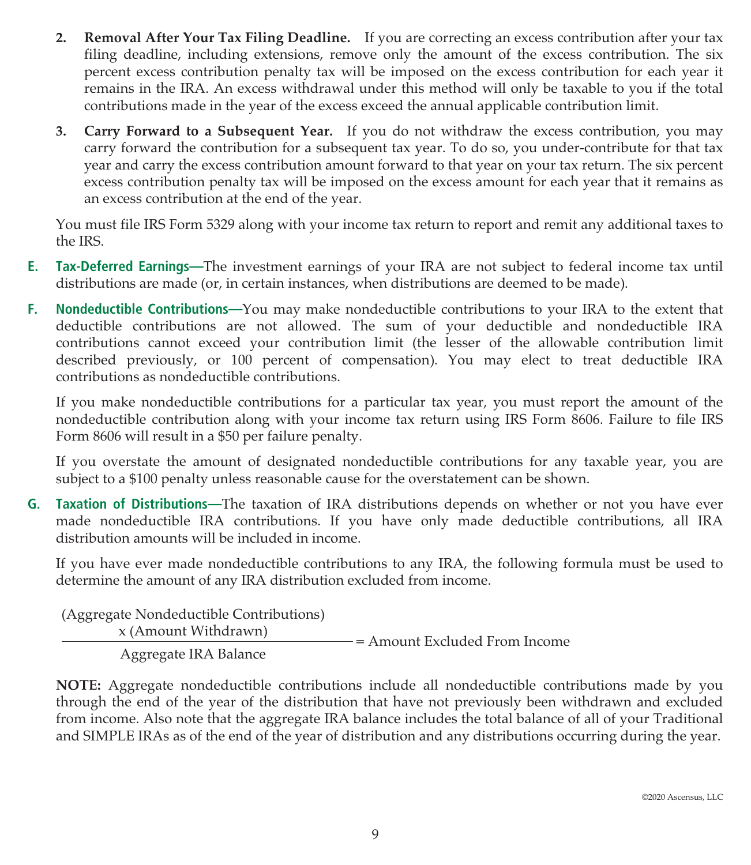- **2. Removal After Your Tax Filing Deadline.** If you are correcting an excess contribution after your tax filing deadline, including extensions, remove only the amount of the excess contribution. The six percent excess contribution penalty tax will be imposed on the excess contribution for each year it remains in the IRA. An excess withdrawal under this method will only be taxable to you if the total contributions made in the year of the excess exceed the annual applicable contribution limit.
- **3. Carry Forward to a Subsequent Year.** If you do not withdraw the excess contribution, you may carry forward the contribution for a subsequent tax year. To do so, you under-contribute for that tax year and carry the excess contribution amount forward to that year on your tax return. The six percent excess contribution penalty tax will be imposed on the excess amount for each year that it remains as an excess contribution at the end of the year.

You must file IRS Form 5329 along with your income tax return to report and remit any additional taxes to the IRS.

- **E. Tax-Deferred Earnings—**The investment earnings of your IRA are not subject to federal income tax until distributions are made (or, in certain instances, when distributions are deemed to be made).
- **F. Nondeductible Contributions—**You may make nondeductible contributions to your IRA to the extent that deductible contributions are not allowed. The sum of your deductible and nondeductible IRA contributions cannot exceed your contribution limit (the lesser of the allowable contribution limit described previously, or 100 percent of compensation). You may elect to treat deductible IRA contributions as nondeductible contributions.

If you make nondeductible contributions for a particular tax year, you must report the amount of the nondeductible contribution along with your income tax return using IRS Form 8606. Failure to file IRS Form 8606 will result in a \$50 per failure penalty.

If you overstate the amount of designated nondeductible contributions for any taxable year, you are subject to a \$100 penalty unless reasonable cause for the overstatement can be shown.

**G. Taxation of Distributions—**The taxation of IRA distributions depends on whether or not you have ever made nondeductible IRA contributions. If you have only made deductible contributions, all IRA distribution amounts will be included in income.

If you have ever made nondeductible contributions to any IRA, the following formula must be used to determine the amount of any IRA distribution excluded from income.

(Aggregate Nondeductible Contributions)  $x$  (Amount Withdrawn)  $x$  = Amount Excluded From Income Aggregate IRA Balance

**NOTE:** Aggregate nondeductible contributions include all nondeductible contributions made by you through the end of the year of the distribution that have not previously been withdrawn and excluded from income. Also note that the aggregate IRA balance includes the total balance of all of your Traditional and SIMPLE IRAs as of the end of the year of distribution and any distributions occurring during the year.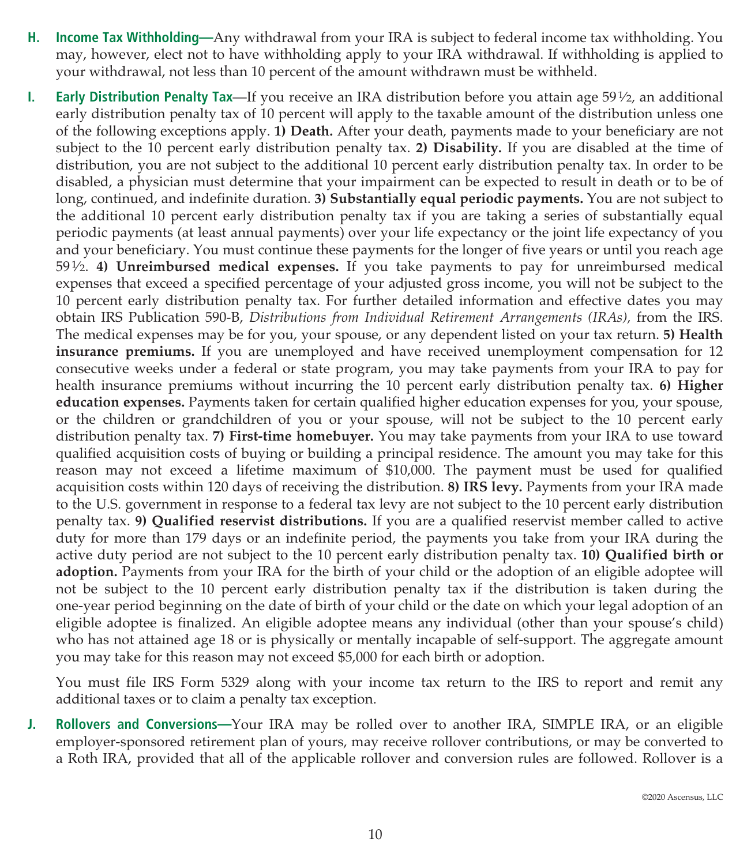- **H. Income Tax Withholding—**Any withdrawal from your IRA is subject to federal income tax withholding. You may, however, elect not to have withholding apply to your IRA withdrawal. If withholding is applied to your withdrawal, not less than 10 percent of the amount withdrawn must be withheld.
- **I. Early Distribution Penalty Tax**—If you receive an IRA distribution before you attain age 591⁄2, an additional early distribution penalty tax of 10 percent will apply to the taxable amount of the distribution unless one of the following exceptions apply. **1) Death.** After your death, payments made to your beneficiary are not subject to the 10 percent early distribution penalty tax. **2) Disability.** If you are disabled at the time of distribution, you are not subject to the additional 10 percent early distribution penalty tax. In order to be disabled, a physician must determine that your impairment can be expected to result in death or to be of long, continued, and indefinite duration. **3) Substantially equal periodic payments.** You are not subject to the additional 10 percent early distribution penalty tax if you are taking a series of substantially equal periodic payments (at least annual payments) over your life expectancy or the joint life expectancy of you and your beneficiary. You must continue these payments for the longer of five years or until you reach age 591⁄2. **4) Unreimbursed medical expenses.** If you take payments to pay for unreimbursed medical expenses that exceed a specified percentage of your adjusted gross income, you will not be subject to the 10 percent early distribution penalty tax. For further detailed information and effective dates you may obtain IRS Publication 590-B, *Distributions from Individual Retirement Arrangements (IRAs),* from the IRS. The medical expenses may be for you, your spouse, or any dependent listed on your tax return. **5) Health insurance premiums.** If you are unemployed and have received unemployment compensation for 12 consecutive weeks under a federal or state program, you may take payments from your IRA to pay for health insurance premiums without incurring the 10 percent early distribution penalty tax. **6) Higher education expenses.** Payments taken for certain qualified higher education expenses for you, your spouse, or the children or grandchildren of you or your spouse, will not be subject to the 10 percent early distribution penalty tax. **7) First-time homebuyer.** You may take payments from your IRA to use toward qualified acquisition costs of buying or building a principal residence. The amount you may take for this reason may not exceed a lifetime maximum of \$10,000. The payment must be used for qualified acquisition costs within 120 days of receiving the distribution. **8) IRS levy.** Payments from your IRA made to the U.S. government in response to a federal tax levy are not subject to the 10 percent early distribution penalty tax. **9) Qualified reservist distributions.** If you are a qualified reservist member called to active duty for more than 179 days or an indefinite period, the payments you take from your IRA during the active duty period are not subject to the 10 percent early distribution penalty tax. **10) Qualified birth or adoption.** Payments from your IRA for the birth of your child or the adoption of an eligible adoptee will not be subject to the 10 percent early distribution penalty tax if the distribution is taken during the one-year period beginning on the date of birth of your child or the date on which your legal adoption of an eligible adoptee is finalized. An eligible adoptee means any individual (other than your spouse's child) who has not attained age 18 or is physically or mentally incapable of self-support. The aggregate amount you may take for this reason may not exceed \$5,000 for each birth or adoption.

You must file IRS Form 5329 along with your income tax return to the IRS to report and remit any additional taxes or to claim a penalty tax exception.

**J. Rollovers and Conversions—**Your IRA may be rolled over to another IRA, SIMPLE IRA, or an eligible employer-sponsored retirement plan of yours, may receive rollover contributions, or may be converted to a Roth IRA, provided that all of the applicable rollover and conversion rules are followed. Rollover is a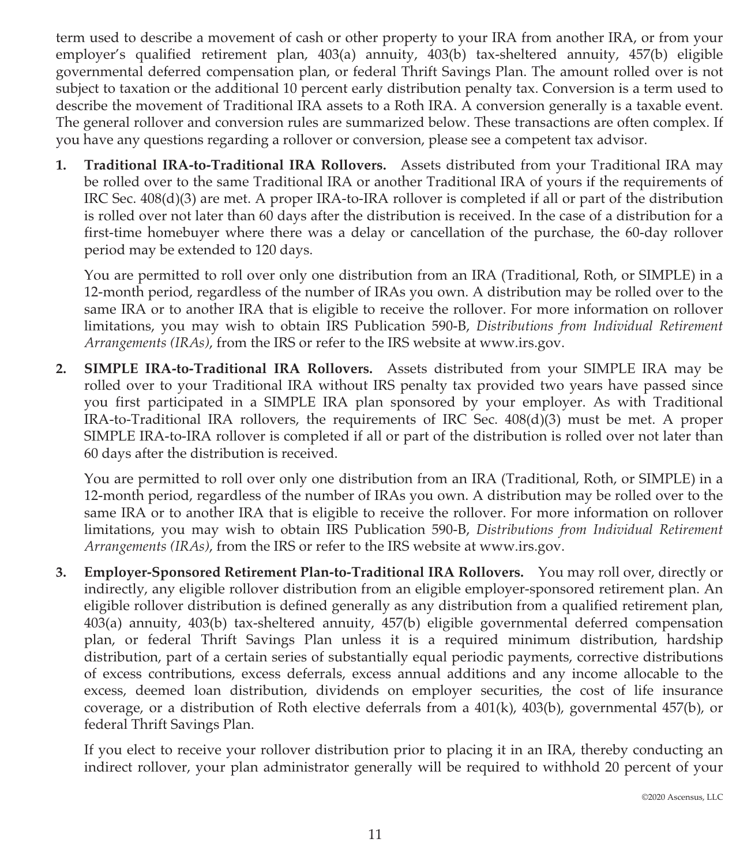term used to describe a movement of cash or other property to your IRA from another IRA, or from your employer's qualified retirement plan, 403(a) annuity, 403(b) tax-sheltered annuity, 457(b) eligible governmental deferred compensation plan, or federal Thrift Savings Plan. The amount rolled over is not subject to taxation or the additional 10 percent early distribution penalty tax. Conversion is a term used to describe the movement of Traditional IRA assets to a Roth IRA. A conversion generally is a taxable event. The general rollover and conversion rules are summarized below. These transactions are often complex. If you have any questions regarding a rollover or conversion, please see a competent tax advisor.

**1. Traditional IRA-to-Traditional IRA Rollovers.** Assets distributed from your Traditional IRA may be rolled over to the same Traditional IRA or another Traditional IRA of yours if the requirements of IRC Sec. 408(d)(3) are met. A proper IRA-to-IRA rollover is completed if all or part of the distribution is rolled over not later than 60 days after the distribution is received. In the case of a distribution for a first-time homebuyer where there was a delay or cancellation of the purchase, the 60-day rollover period may be extended to 120 days.

You are permitted to roll over only one distribution from an IRA (Traditional, Roth, or SIMPLE) in a 12-month period, regardless of the number of IRAs you own. A distribution may be rolled over to the same IRA or to another IRA that is eligible to receive the rollover. For more information on rollover limitations, you may wish to obtain IRS Publication 590-B, *Distributions from Individual Retirement Arrangements (IRAs)*, from the IRS or refer to the IRS website at www.irs.gov.

**2. SIMPLE IRA-to-Traditional IRA Rollovers.** Assets distributed from your SIMPLE IRA may be rolled over to your Traditional IRA without IRS penalty tax provided two years have passed since you first participated in a SIMPLE IRA plan sponsored by your employer. As with Traditional IRA-to-Traditional IRA rollovers, the requirements of IRC Sec. 408(d)(3) must be met. A proper SIMPLE IRA-to-IRA rollover is completed if all or part of the distribution is rolled over not later than 60 days after the distribution is received.

You are permitted to roll over only one distribution from an IRA (Traditional, Roth, or SIMPLE) in a 12-month period, regardless of the number of IRAs you own. A distribution may be rolled over to the same IRA or to another IRA that is eligible to receive the rollover. For more information on rollover limitations, you may wish to obtain IRS Publication 590-B, *Distributions from Individual Retirement Arrangements (IRAs)*, from the IRS or refer to the IRS website at www.irs.gov.

**3. Employer-Sponsored Retirement Plan-to-Traditional IRA Rollovers.** You may roll over, directly or indirectly, any eligible rollover distribution from an eligible employer-sponsored retirement plan. An eligible rollover distribution is defined generally as any distribution from a qualified retirement plan, 403(a) annuity, 403(b) tax-sheltered annuity, 457(b) eligible governmental deferred compensation plan, or federal Thrift Savings Plan unless it is a required minimum distribution, hardship distribution, part of a certain series of substantially equal periodic payments, corrective distributions of excess contributions, excess deferrals, excess annual additions and any income allocable to the excess, deemed loan distribution, dividends on employer securities, the cost of life insurance coverage, or a distribution of Roth elective deferrals from a 401(k), 403(b), governmental 457(b), or federal Thrift Savings Plan.

If you elect to receive your rollover distribution prior to placing it in an IRA, thereby conducting an indirect rollover, your plan administrator generally will be required to withhold 20 percent of your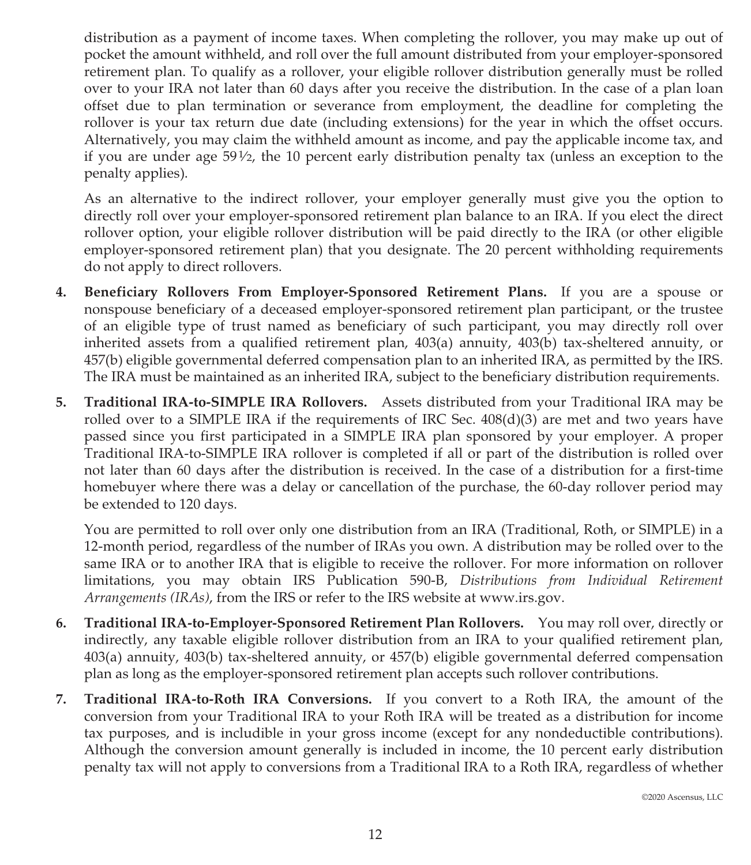distribution as a payment of income taxes. When completing the rollover, you may make up out of pocket the amount withheld, and roll over the full amount distributed from your employer-sponsored retirement plan. To qualify as a rollover, your eligible rollover distribution generally must be rolled over to your IRA not later than 60 days after you receive the distribution. In the case of a plan loan offset due to plan termination or severance from employment, the deadline for completing the rollover is your tax return due date (including extensions) for the year in which the offset occurs. Alternatively, you may claim the withheld amount as income, and pay the applicable income tax, and if you are under age  $59\frac{1}{2}$ , the 10 percent early distribution penalty tax (unless an exception to the penalty applies).

As an alternative to the indirect rollover, your employer generally must give you the option to directly roll over your employer-sponsored retirement plan balance to an IRA. If you elect the direct rollover option, your eligible rollover distribution will be paid directly to the IRA (or other eligible employer-sponsored retirement plan) that you designate. The 20 percent withholding requirements do not apply to direct rollovers.

- **4. Beneficiary Rollovers From Employer-Sponsored Retirement Plans.** If you are a spouse or nonspouse beneficiary of a deceased employer-sponsored retirement plan participant, or the trustee of an eligible type of trust named as beneficiary of such participant, you may directly roll over inherited assets from a qualified retirement plan, 403(a) annuity, 403(b) tax-sheltered annuity, or 457(b) eligible governmental deferred compensation plan to an inherited IRA, as permitted by the IRS. The IRA must be maintained as an inherited IRA, subject to the beneficiary distribution requirements.
- **5. Traditional IRA-to-SIMPLE IRA Rollovers.** Assets distributed from your Traditional IRA may be rolled over to a SIMPLE IRA if the requirements of IRC Sec.  $408(d)(3)$  are met and two years have passed since you first participated in a SIMPLE IRA plan sponsored by your employer. A proper Traditional IRA-to-SIMPLE IRA rollover is completed if all or part of the distribution is rolled over not later than 60 days after the distribution is received. In the case of a distribution for a first-time homebuyer where there was a delay or cancellation of the purchase, the 60-day rollover period may be extended to 120 days.

You are permitted to roll over only one distribution from an IRA (Traditional, Roth, or SIMPLE) in a 12-month period, regardless of the number of IRAs you own. A distribution may be rolled over to the same IRA or to another IRA that is eligible to receive the rollover. For more information on rollover limitations, you may obtain IRS Publication 590-B, *Distributions from Individual Retirement Arrangements (IRAs)*, from the IRS or refer to the IRS website at www.irs.gov.

- **6. Traditional IRA-to-Employer-Sponsored Retirement Plan Rollovers.** You may roll over, directly or indirectly, any taxable eligible rollover distribution from an IRA to your qualified retirement plan, 403(a) annuity, 403(b) tax-sheltered annuity, or 457(b) eligible governmental deferred compensation plan as long as the employer-sponsored retirement plan accepts such rollover contributions.
- **7. Traditional IRA-to-Roth IRA Conversions.** If you convert to a Roth IRA, the amount of the conversion from your Traditional IRA to your Roth IRA will be treated as a distribution for income tax purposes, and is includible in your gross income (except for any nondeductible contributions). Although the conversion amount generally is included in income, the 10 percent early distribution penalty tax will not apply to conversions from a Traditional IRA to a Roth IRA, regardless of whether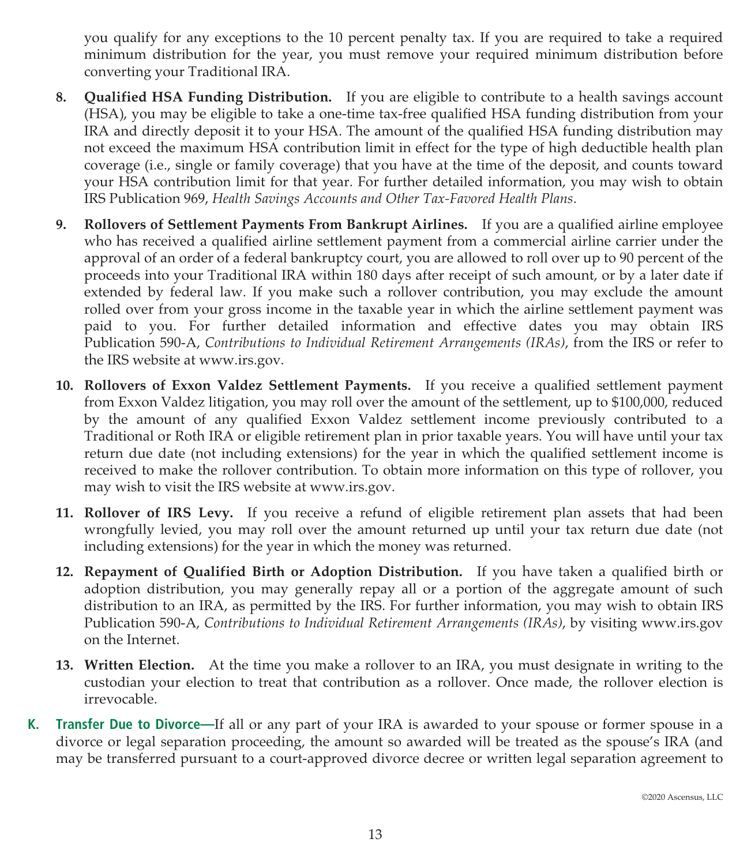you qualify for any exceptions to the 10 percent penalty tax. If you are required to take a required minimum distribution for the year, you must remove your required minimum distribution before converting your Traditional IRA.

- **8. Qualified HSA Funding Distribution.** If you are eligible to contribute to a health savings account (HSA), you may be eligible to take a one-time tax-free qualified HSA funding distribution from your IRA and directly deposit it to your HSA. The amount of the qualified HSA funding distribution may not exceed the maximum HSA contribution limit in effect for the type of high deductible health plan coverage (i.e., single or family coverage) that you have at the time of the deposit, and counts toward your HSA contribution limit for that year. For further detailed information, you may wish to obtain IRS Publication 969, *Health Savings Accounts and Other Tax-Favored Health Plans*.
- **9. Rollovers of Settlement Payments From Bankrupt Airlines.** If you are a qualified airline employee who has received a qualified airline settlement payment from a commercial airline carrier under the approval of an order of a federal bankruptcy court, you are allowed to roll over up to 90 percent of the proceeds into your Traditional IRA within 180 days after receipt of such amount, or by a later date if extended by federal law. If you make such a rollover contribution, you may exclude the amount rolled over from your gross income in the taxable year in which the airline settlement payment was paid to you. For further detailed information and effective dates you may obtain IRS Publication 590-A, *Contributions to Individual Retirement Arrangements (IRAs)*, from the IRS or refer to the IRS website at www.irs.gov.
- **10. Rollovers of Exxon Valdez Settlement Payments.** If you receive a qualified settlement payment from Exxon Valdez litigation, you may roll over the amount of the settlement, up to \$100,000, reduced by the amount of any qualified Exxon Valdez settlement income previously contributed to a Traditional or Roth IRA or eligible retirement plan in prior taxable years. You will have until your tax return due date (not including extensions) for the year in which the qualified settlement income is received to make the rollover contribution. To obtain more information on this type of rollover, you may wish to visit the IRS website at www.irs.gov.
- **11. Rollover of IRS Levy.** If you receive a refund of eligible retirement plan assets that had been wrongfully levied, you may roll over the amount returned up until your tax return due date (not including extensions) for the year in which the money was returned.
- **12. Repayment of Qualified Birth or Adoption Distribution.** If you have taken a qualified birth or adoption distribution, you may generally repay all or a portion of the aggregate amount of such distribution to an IRA, as permitted by the IRS. For further information, you may wish to obtain IRS Publication 590-A, *Contributions to Individual Retirement Arrangements (IRAs)*, by visiting www.irs.gov on the Internet.
- **13. Written Election.** At the time you make a rollover to an IRA, you must designate in writing to the custodian your election to treat that contribution as a rollover. Once made, the rollover election is irrevocable.
- **K. Transfer Due to Divorce—**If all or any part of your IRA is awarded to your spouse or former spouse in a divorce or legal separation proceeding, the amount so awarded will be treated as the spouse's IRA (and may be transferred pursuant to a court-approved divorce decree or written legal separation agreement to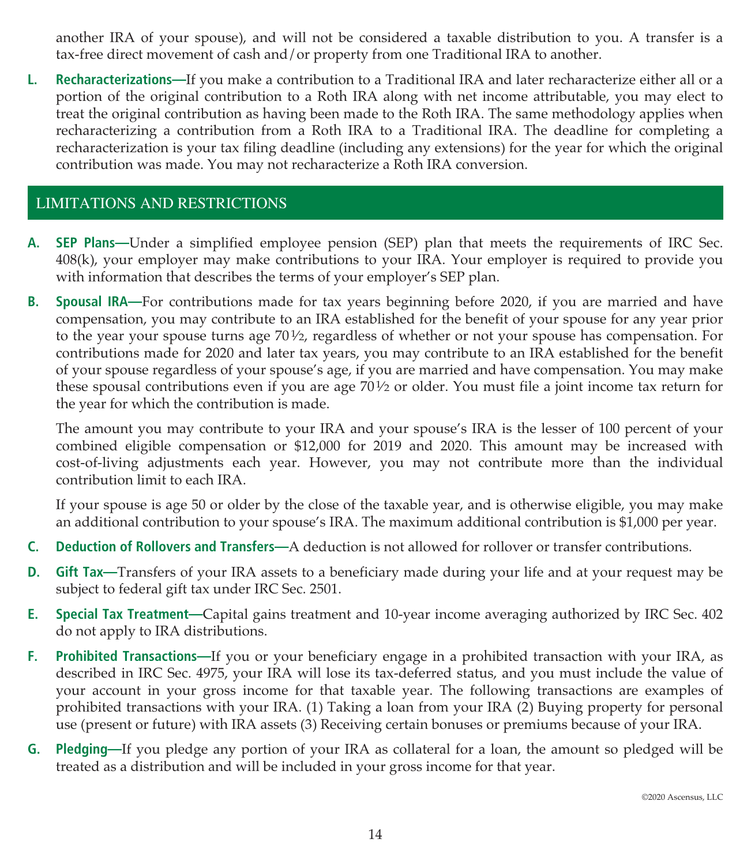another IRA of your spouse), and will not be considered a taxable distribution to you. A transfer is a tax-free direct movement of cash and/or property from one Traditional IRA to another.

**L. Recharacterizations—**If you make a contribution to a Traditional IRA and later recharacterize either all or a portion of the original contribution to a Roth IRA along with net income attributable, you may elect to treat the original contribution as having been made to the Roth IRA. The same methodology applies when recharacterizing a contribution from a Roth IRA to a Traditional IRA. The deadline for completing a recharacterization is your tax filing deadline (including any extensions) for the year for which the original contribution was made. You may not recharacterize a Roth IRA conversion.

# LIMITATIONS AND RESTRICTIONS

- **A. SEP Plans—**Under a simplified employee pension (SEP) plan that meets the requirements of IRC Sec. 408(k), your employer may make contributions to your IRA. Your employer is required to provide you with information that describes the terms of your employer's SEP plan.
- **B. Spousal IRA—**For contributions made for tax years beginning before 2020, if you are married and have compensation, you may contribute to an IRA established for the benefit of your spouse for any year prior to the year your spouse turns age  $70\frac{1}{2}$ , regardless of whether or not your spouse has compensation. For contributions made for 2020 and later tax years, you may contribute to an IRA established for the benefit of your spouse regardless of your spouse's age, if you are married and have compensation. You may make these spousal contributions even if you are age 701⁄2 or older. You must file a joint income tax return for the year for which the contribution is made.

The amount you may contribute to your IRA and your spouse's IRA is the lesser of 100 percent of your combined eligible compensation or \$12,000 for 2019 and 2020. This amount may be increased with cost-of-living adjustments each year. However, you may not contribute more than the individual contribution limit to each IRA.

If your spouse is age 50 or older by the close of the taxable year, and is otherwise eligible, you may make an additional contribution to your spouse's IRA. The maximum additional contribution is \$1,000 per year.

- **C. Deduction of Rollovers and Transfers—**A deduction is not allowed for rollover or transfer contributions.
- **D. Gift Tax—**Transfers of your IRA assets to a beneficiary made during your life and at your request may be subject to federal gift tax under IRC Sec. 2501.
- **E. Special Tax Treatment—**Capital gains treatment and 10-year income averaging authorized by IRC Sec. 402 do not apply to IRA distributions.
- **F. Prohibited Transactions—**If you or your beneficiary engage in a prohibited transaction with your IRA, as described in IRC Sec. 4975, your IRA will lose its tax-deferred status, and you must include the value of your account in your gross income for that taxable year. The following transactions are examples of prohibited transactions with your IRA. (1) Taking a loan from your IRA (2) Buying property for personal use (present or future) with IRA assets (3) Receiving certain bonuses or premiums because of your IRA.
- **G. Pledging—**If you pledge any portion of your IRA as collateral for a loan, the amount so pledged will be treated as a distribution and will be included in your gross income for that year.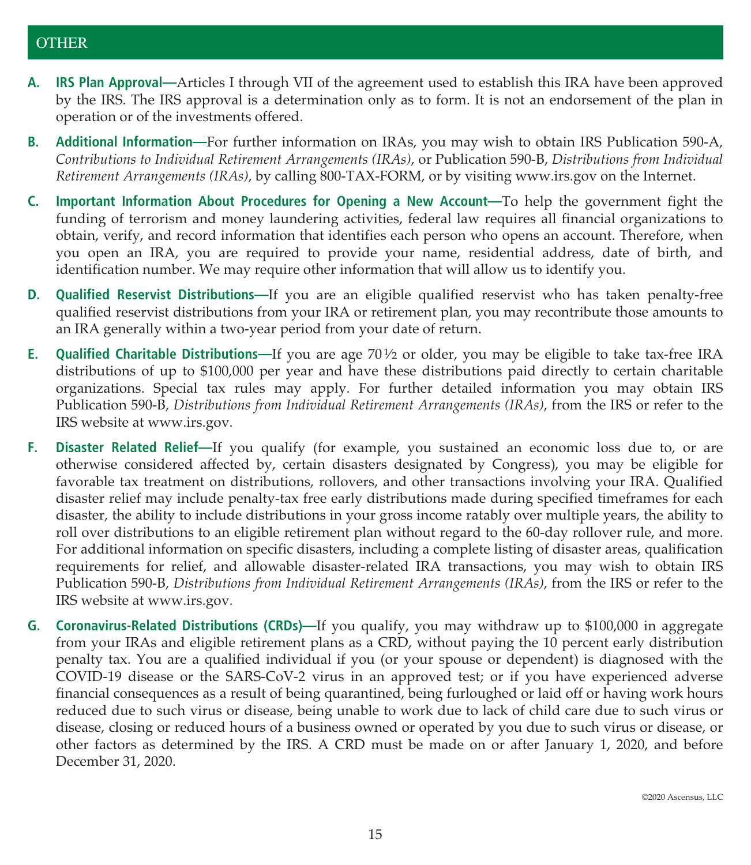# **OTHER**

- **A. IRS Plan Approval—**Articles I through VII of the agreement used to establish this IRA have been approved by the IRS. The IRS approval is a determination only as to form. It is not an endorsement of the plan in operation or of the investments offered.
- **B. Additional Information—**For further information on IRAs, you may wish to obtain IRS Publication 590-A, *Contributions to Individual Retirement Arrangements (IRAs)*, or Publication 590-B, *Distributions from Individual Retirement Arrangements (IRAs)*, by calling 800-TAX-FORM, or by visiting www.irs.gov on the Internet.
- **C. Important Information About Procedures for Opening a New Account—**To help the government fight the funding of terrorism and money laundering activities, federal law requires all financial organizations to obtain, verify, and record information that identifies each person who opens an account. Therefore, when you open an IRA, you are required to provide your name, residential address, date of birth, and identification number. We may require other information that will allow us to identify you.
- **D. Qualified Reservist Distributions—**If you are an eligible qualified reservist who has taken penalty-free qualified reservist distributions from your IRA or retirement plan, you may recontribute those amounts to an IRA generally within a two-year period from your date of return.
- **E. Qualified Charitable Distributions—**If you are age 701⁄2 or older, you may be eligible to take tax-free IRA distributions of up to \$100,000 per year and have these distributions paid directly to certain charitable organizations. Special tax rules may apply. For further detailed information you may obtain IRS Publication 590-B, *Distributions from Individual Retirement Arrangements (IRAs)*, from the IRS or refer to the IRS website at www.irs.gov.
- **F. Disaster Related Relief—**If you qualify (for example, you sustained an economic loss due to, or are otherwise considered affected by, certain disasters designated by Congress), you may be eligible for favorable tax treatment on distributions, rollovers, and other transactions involving your IRA. Qualified disaster relief may include penalty-tax free early distributions made during specified timeframes for each disaster, the ability to include distributions in your gross income ratably over multiple years, the ability to roll over distributions to an eligible retirement plan without regard to the 60-day rollover rule, and more. For additional information on specific disasters, including a complete listing of disaster areas, qualification requirements for relief, and allowable disaster-related IRA transactions, you may wish to obtain IRS Publication 590-B, *Distributions from Individual Retirement Arrangements (IRAs)*, from the IRS or refer to the IRS website at www.irs.gov.
- **G. Coronavirus-Related Distributions (CRDs)—**If you qualify, you may withdraw up to \$100,000 in aggregate from your IRAs and eligible retirement plans as a CRD, without paying the 10 percent early distribution penalty tax. You are a qualified individual if you (or your spouse or dependent) is diagnosed with the COVID-19 disease or the SARS-CoV-2 virus in an approved test; or if you have experienced adverse financial consequences as a result of being quarantined, being furloughed or laid off or having work hours reduced due to such virus or disease, being unable to work due to lack of child care due to such virus or disease, closing or reduced hours of a business owned or operated by you due to such virus or disease, or other factors as determined by the IRS. A CRD must be made on or after January 1, 2020, and before December 31, 2020.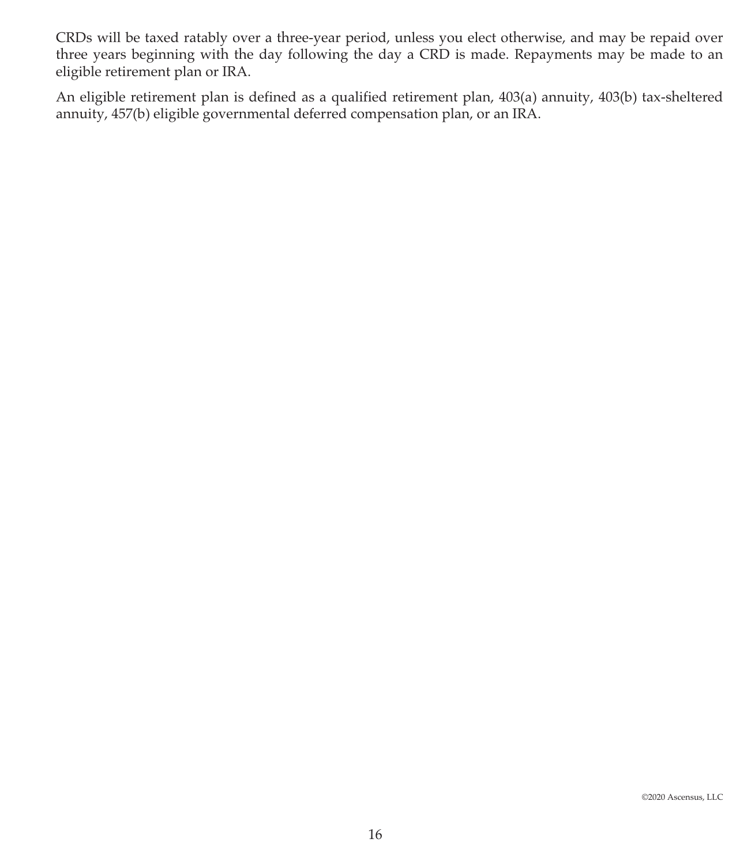CRDs will be taxed ratably over a three-year period, unless you elect otherwise, and may be repaid over three years beginning with the day following the day a CRD is made. Repayments may be made to an eligible retirement plan or IRA.

An eligible retirement plan is defined as a qualified retirement plan, 403(a) annuity, 403(b) tax-sheltered annuity, 457(b) eligible governmental deferred compensation plan, or an IRA.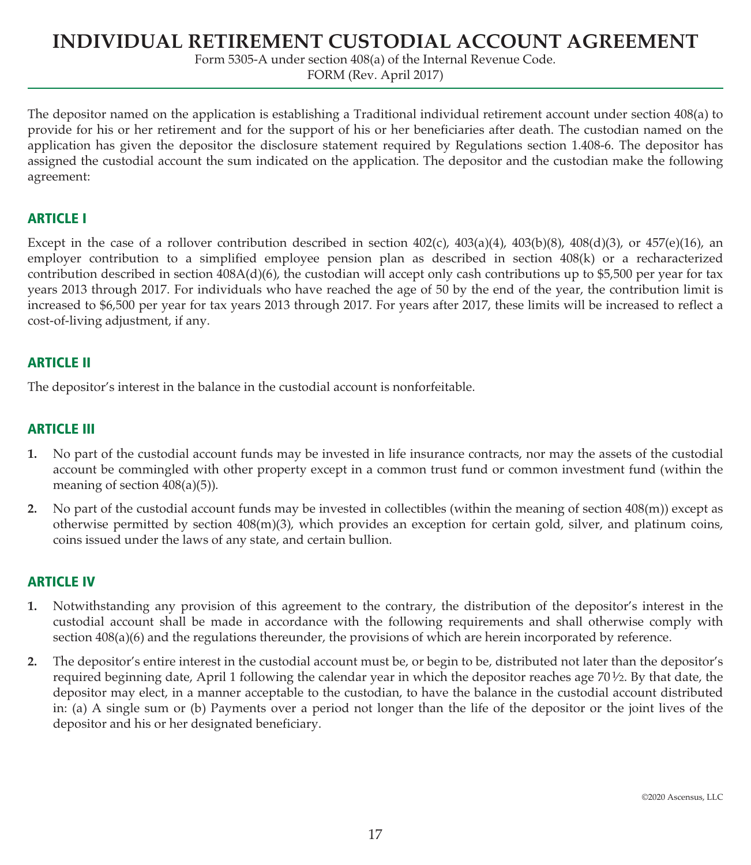# **INDIVIDUAL RETIREMENT CUSTODIAL ACCOUNT AGREEMENT**

Form 5305-A under section 408(a) of the Internal Revenue Code.

FORM (Rev. April 2017)

The depositor named on the application is establishing a Traditional individual retirement account under section 408(a) to provide for his or her retirement and for the support of his or her beneficiaries after death. The custodian named on the application has given the depositor the disclosure statement required by Regulations section 1.408-6. The depositor has assigned the custodial account the sum indicated on the application. The depositor and the custodian make the following agreement:

## **ARTICLE I**

Except in the case of a rollover contribution described in section  $402(c)$ ,  $403(a)(4)$ ,  $403(b)(8)$ ,  $408(d)(3)$ , or  $457(e)(16)$ , an employer contribution to a simplified employee pension plan as described in section 408(k) or a recharacterized contribution described in section  $408A(d)(6)$ , the custodian will accept only cash contributions up to \$5,500 per year for tax years 2013 through 2017. For individuals who have reached the age of 50 by the end of the year, the contribution limit is increased to \$6,500 per year for tax years 2013 through 2017. For years after 2017, these limits will be increased to reflect a cost-of-living adjustment, if any.

## **ARTICLE II**

The depositor's interest in the balance in the custodial account is nonforfeitable.

## **ARTICLE III**

- **1.** No part of the custodial account funds may be invested in life insurance contracts, nor may the assets of the custodial account be commingled with other property except in a common trust fund or common investment fund (within the meaning of section 408(a)(5)).
- **2.** No part of the custodial account funds may be invested in collectibles (within the meaning of section 408(m)) except as otherwise permitted by section 408(m)(3), which provides an exception for certain gold, silver, and platinum coins, coins issued under the laws of any state, and certain bullion.

## **ARTICLE IV**

- **1.** Notwithstanding any provision of this agreement to the contrary, the distribution of the depositor's interest in the custodial account shall be made in accordance with the following requirements and shall otherwise comply with section  $408(a)(6)$  and the regulations thereunder, the provisions of which are herein incorporated by reference.
- **2.** The depositor's entire interest in the custodial account must be, or begin to be, distributed not later than the depositor's required beginning date, April 1 following the calendar year in which the depositor reaches age 701⁄2. By that date, the depositor may elect, in a manner acceptable to the custodian, to have the balance in the custodial account distributed in: (a) A single sum or (b) Payments over a period not longer than the life of the depositor or the joint lives of the depositor and his or her designated beneficiary.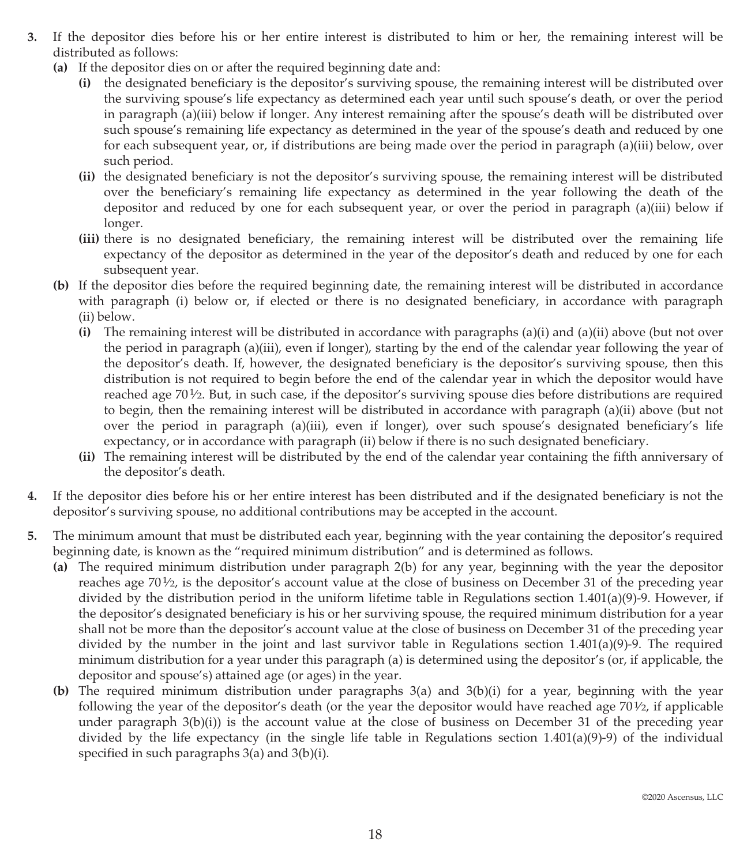- **3.** If the depositor dies before his or her entire interest is distributed to him or her, the remaining interest will be distributed as follows:
	- **(a)** If the depositor dies on or after the required beginning date and:
		- **(i)** the designated beneficiary is the depositor's surviving spouse, the remaining interest will be distributed over the surviving spouse's life expectancy as determined each year until such spouse's death, or over the period in paragraph (a)(iii) below if longer. Any interest remaining after the spouse's death will be distributed over such spouse's remaining life expectancy as determined in the year of the spouse's death and reduced by one for each subsequent year, or, if distributions are being made over the period in paragraph (a)(iii) below, over such period.
		- **(ii)** the designated beneficiary is not the depositor's surviving spouse, the remaining interest will be distributed over the beneficiary's remaining life expectancy as determined in the year following the death of the depositor and reduced by one for each subsequent year, or over the period in paragraph (a)(iii) below if longer.
		- **(iii)** there is no designated beneficiary, the remaining interest will be distributed over the remaining life expectancy of the depositor as determined in the year of the depositor's death and reduced by one for each subsequent year.
	- **(b)** If the depositor dies before the required beginning date, the remaining interest will be distributed in accordance with paragraph (i) below or, if elected or there is no designated beneficiary, in accordance with paragraph (ii) below.
		- **(i)** The remaining interest will be distributed in accordance with paragraphs (a)(i) and (a)(ii) above (but not over the period in paragraph (a)(iii), even if longer), starting by the end of the calendar year following the year of the depositor's death. If, however, the designated beneficiary is the depositor's surviving spouse, then this distribution is not required to begin before the end of the calendar year in which the depositor would have reached age 701⁄2. But, in such case, if the depositor's surviving spouse dies before distributions are required to begin, then the remaining interest will be distributed in accordance with paragraph (a)(ii) above (but not over the period in paragraph (a)(iii), even if longer), over such spouse's designated beneficiary's life expectancy, or in accordance with paragraph (ii) below if there is no such designated beneficiary.
		- **(ii)** The remaining interest will be distributed by the end of the calendar year containing the fifth anniversary of the depositor's death.
- **4.** If the depositor dies before his or her entire interest has been distributed and if the designated beneficiary is not the depositor's surviving spouse, no additional contributions may be accepted in the account.
- **5.** The minimum amount that must be distributed each year, beginning with the year containing the depositor's required beginning date, is known as the "required minimum distribution" and is determined as follows.
	- **(a)** The required minimum distribution under paragraph 2(b) for any year, beginning with the year the depositor reaches age  $70\frac{1}{2}$ , is the depositor's account value at the close of business on December 31 of the preceding year divided by the distribution period in the uniform lifetime table in Regulations section 1.401(a)(9)-9. However, if the depositor's designated beneficiary is his or her surviving spouse, the required minimum distribution for a year shall not be more than the depositor's account value at the close of business on December 31 of the preceding year divided by the number in the joint and last survivor table in Regulations section 1.401(a)(9)-9. The required minimum distribution for a year under this paragraph (a) is determined using the depositor's (or, if applicable, the depositor and spouse's) attained age (or ages) in the year.
	- **(b)** The required minimum distribution under paragraphs 3(a) and 3(b)(i) for a year, beginning with the year following the year of the depositor's death (or the year the depositor would have reached age  $70\frac{1}{2}$ , if applicable under paragraph 3(b)(i)) is the account value at the close of business on December 31 of the preceding year divided by the life expectancy (in the single life table in Regulations section 1.401(a)(9)-9) of the individual specified in such paragraphs 3(a) and 3(b)(i).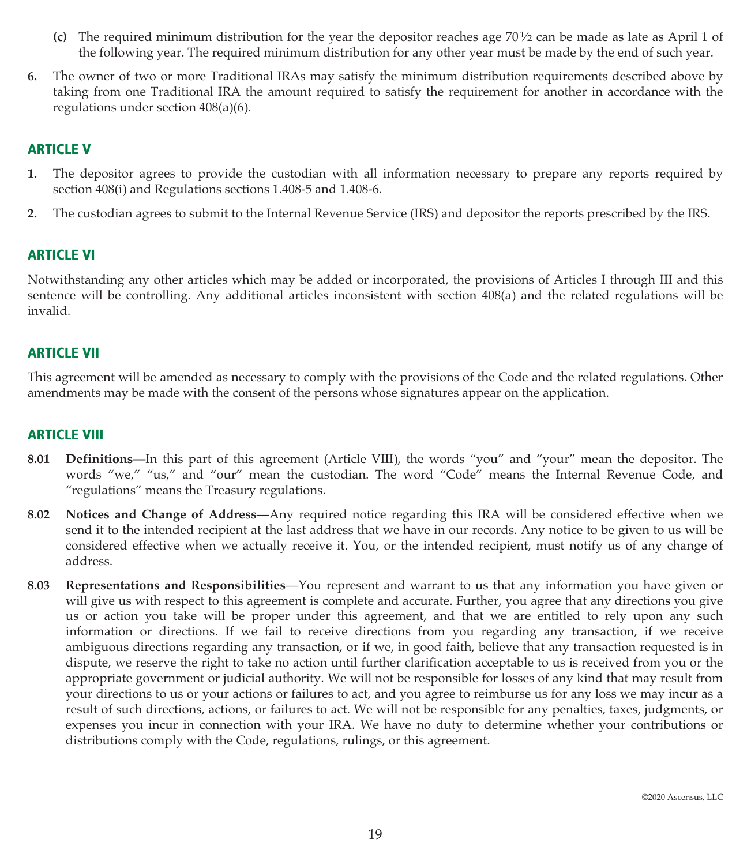- **(c)** The required minimum distribution for the year the depositor reaches age 701⁄2 can be made as late as April 1 of the following year. The required minimum distribution for any other year must be made by the end of such year.
- **6.** The owner of two or more Traditional IRAs may satisfy the minimum distribution requirements described above by taking from one Traditional IRA the amount required to satisfy the requirement for another in accordance with the regulations under section 408(a)(6).

# **ARTICLE V**

- **1.** The depositor agrees to provide the custodian with all information necessary to prepare any reports required by section 408(i) and Regulations sections 1.408-5 and 1.408-6.
- **2.** The custodian agrees to submit to the Internal Revenue Service (IRS) and depositor the reports prescribed by the IRS.

#### **ARTICLE VI**

Notwithstanding any other articles which may be added or incorporated, the provisions of Articles I through III and this sentence will be controlling. Any additional articles inconsistent with section 408(a) and the related regulations will be invalid.

#### **ARTICLE VII**

This agreement will be amended as necessary to comply with the provisions of the Code and the related regulations. Other amendments may be made with the consent of the persons whose signatures appear on the application.

#### **ARTICLE VIII**

- **8.01 Definitions—**In this part of this agreement (Article VIII), the words "you" and "your" mean the depositor. The words "we," "us," and "our" mean the custodian. The word "Code" means the Internal Revenue Code, and "regulations" means the Treasury regulations.
- **8.02 Notices and Change of Address**—Any required notice regarding this IRA will be considered effective when we send it to the intended recipient at the last address that we have in our records. Any notice to be given to us will be considered effective when we actually receive it. You, or the intended recipient, must notify us of any change of address.
- **8.03 Representations and Responsibilities**—You represent and warrant to us that any information you have given or will give us with respect to this agreement is complete and accurate. Further, you agree that any directions you give us or action you take will be proper under this agreement, and that we are entitled to rely upon any such information or directions. If we fail to receive directions from you regarding any transaction, if we receive ambiguous directions regarding any transaction, or if we, in good faith, believe that any transaction requested is in dispute, we reserve the right to take no action until further clarification acceptable to us is received from you or the appropriate government or judicial authority. We will not be responsible for losses of any kind that may result from your directions to us or your actions or failures to act, and you agree to reimburse us for any loss we may incur as a result of such directions, actions, or failures to act. We will not be responsible for any penalties, taxes, judgments, or expenses you incur in connection with your IRA. We have no duty to determine whether your contributions or distributions comply with the Code, regulations, rulings, or this agreement.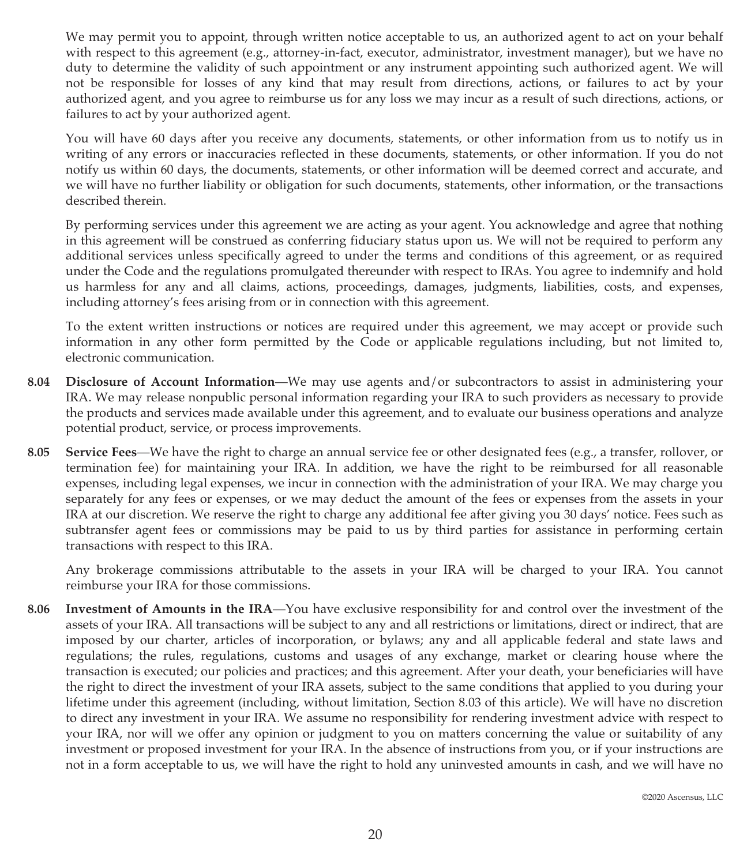We may permit you to appoint, through written notice acceptable to us, an authorized agent to act on your behalf with respect to this agreement (e.g., attorney-in-fact, executor, administrator, investment manager), but we have no duty to determine the validity of such appointment or any instrument appointing such authorized agent. We will not be responsible for losses of any kind that may result from directions, actions, or failures to act by your authorized agent, and you agree to reimburse us for any loss we may incur as a result of such directions, actions, or failures to act by your authorized agent.

You will have 60 days after you receive any documents, statements, or other information from us to notify us in writing of any errors or inaccuracies reflected in these documents, statements, or other information. If you do not notify us within 60 days, the documents, statements, or other information will be deemed correct and accurate, and we will have no further liability or obligation for such documents, statements, other information, or the transactions described therein.

By performing services under this agreement we are acting as your agent. You acknowledge and agree that nothing in this agreement will be construed as conferring fiduciary status upon us. We will not be required to perform any additional services unless specifically agreed to under the terms and conditions of this agreement, or as required under the Code and the regulations promulgated thereunder with respect to IRAs. You agree to indemnify and hold us harmless for any and all claims, actions, proceedings, damages, judgments, liabilities, costs, and expenses, including attorney's fees arising from or in connection with this agreement.

To the extent written instructions or notices are required under this agreement, we may accept or provide such information in any other form permitted by the Code or applicable regulations including, but not limited to, electronic communication.

- **8.04 Disclosure of Account Information**—We may use agents and/or subcontractors to assist in administering your IRA. We may release nonpublic personal information regarding your IRA to such providers as necessary to provide the products and services made available under this agreement, and to evaluate our business operations and analyze potential product, service, or process improvements.
- **8.05 Service Fees**—We have the right to charge an annual service fee or other designated fees (e.g., a transfer, rollover, or termination fee) for maintaining your IRA. In addition, we have the right to be reimbursed for all reasonable expenses, including legal expenses, we incur in connection with the administration of your IRA. We may charge you separately for any fees or expenses, or we may deduct the amount of the fees or expenses from the assets in your IRA at our discretion. We reserve the right to charge any additional fee after giving you 30 days' notice. Fees such as subtransfer agent fees or commissions may be paid to us by third parties for assistance in performing certain transactions with respect to this IRA.

Any brokerage commissions attributable to the assets in your IRA will be charged to your IRA. You cannot reimburse your IRA for those commissions.

**8.06 Investment of Amounts in the IRA**—You have exclusive responsibility for and control over the investment of the assets of your IRA. All transactions will be subject to any and all restrictions or limitations, direct or indirect, that are imposed by our charter, articles of incorporation, or bylaws; any and all applicable federal and state laws and regulations; the rules, regulations, customs and usages of any exchange, market or clearing house where the transaction is executed; our policies and practices; and this agreement. After your death, your beneficiaries will have the right to direct the investment of your IRA assets, subject to the same conditions that applied to you during your lifetime under this agreement (including, without limitation, Section 8.03 of this article). We will have no discretion to direct any investment in your IRA. We assume no responsibility for rendering investment advice with respect to your IRA, nor will we offer any opinion or judgment to you on matters concerning the value or suitability of any investment or proposed investment for your IRA. In the absence of instructions from you, or if your instructions are not in a form acceptable to us, we will have the right to hold any uninvested amounts in cash, and we will have no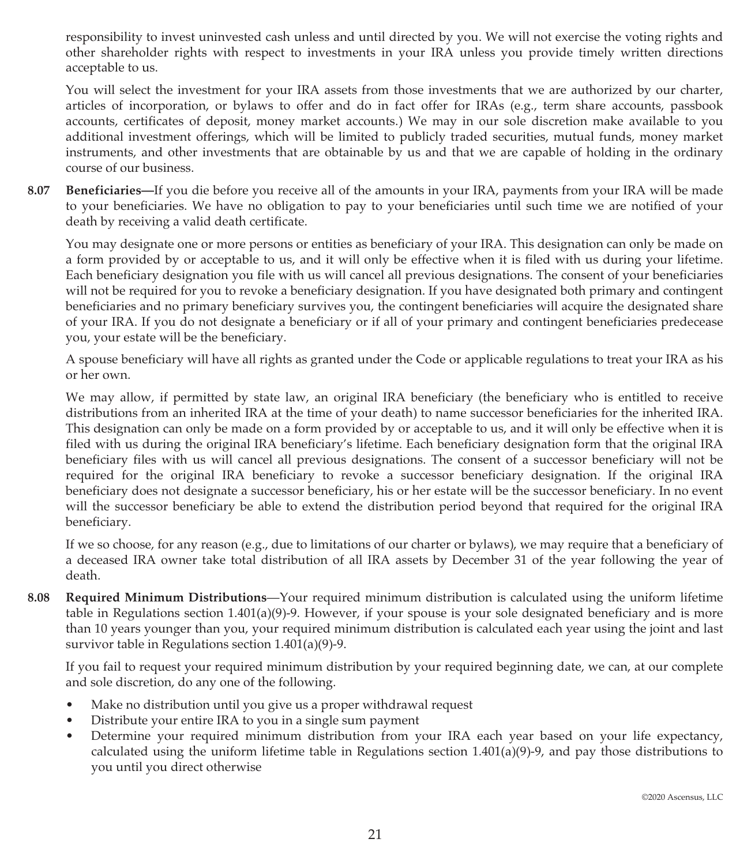responsibility to invest uninvested cash unless and until directed by you. We will not exercise the voting rights and other shareholder rights with respect to investments in your IRA unless you provide timely written directions acceptable to us.

You will select the investment for your IRA assets from those investments that we are authorized by our charter, articles of incorporation, or bylaws to offer and do in fact offer for IRAs (e.g., term share accounts, passbook accounts, certificates of deposit, money market accounts.) We may in our sole discretion make available to you additional investment offerings, which will be limited to publicly traded securities, mutual funds, money market instruments, and other investments that are obtainable by us and that we are capable of holding in the ordinary course of our business.

**8.07 Beneficiaries—**If you die before you receive all of the amounts in your IRA, payments from your IRA will be made to your beneficiaries. We have no obligation to pay to your beneficiaries until such time we are notified of your death by receiving a valid death certificate.

You may designate one or more persons or entities as beneficiary of your IRA. This designation can only be made on a form provided by or acceptable to us, and it will only be effective when it is filed with us during your lifetime. Each beneficiary designation you file with us will cancel all previous designations. The consent of your beneficiaries will not be required for you to revoke a beneficiary designation. If you have designated both primary and contingent beneficiaries and no primary beneficiary survives you, the contingent beneficiaries will acquire the designated share of your IRA. If you do not designate a beneficiary or if all of your primary and contingent beneficiaries predecease you, your estate will be the beneficiary.

A spouse beneficiary will have all rights as granted under the Code or applicable regulations to treat your IRA as his or her own.

We may allow, if permitted by state law, an original IRA beneficiary (the beneficiary who is entitled to receive distributions from an inherited IRA at the time of your death) to name successor beneficiaries for the inherited IRA. This designation can only be made on a form provided by or acceptable to us, and it will only be effective when it is filed with us during the original IRA beneficiary's lifetime. Each beneficiary designation form that the original IRA beneficiary files with us will cancel all previous designations. The consent of a successor beneficiary will not be required for the original IRA beneficiary to revoke a successor beneficiary designation. If the original IRA beneficiary does not designate a successor beneficiary, his or her estate will be the successor beneficiary. In no event will the successor beneficiary be able to extend the distribution period beyond that required for the original IRA beneficiary.

If we so choose, for any reason (e.g., due to limitations of our charter or bylaws), we may require that a beneficiary of a deceased IRA owner take total distribution of all IRA assets by December 31 of the year following the year of death.

**8.08 Required Minimum Distributions**—Your required minimum distribution is calculated using the uniform lifetime table in Regulations section 1.401(a)(9)-9. However, if your spouse is your sole designated beneficiary and is more than 10 years younger than you, your required minimum distribution is calculated each year using the joint and last survivor table in Regulations section 1.401(a)(9)-9.

If you fail to request your required minimum distribution by your required beginning date, we can, at our complete and sole discretion, do any one of the following.

- Make no distribution until you give us a proper withdrawal request
- Distribute your entire IRA to you in a single sum payment
- Determine your required minimum distribution from your IRA each year based on your life expectancy, calculated using the uniform lifetime table in Regulations section 1.401(a)(9)-9, and pay those distributions to you until you direct otherwise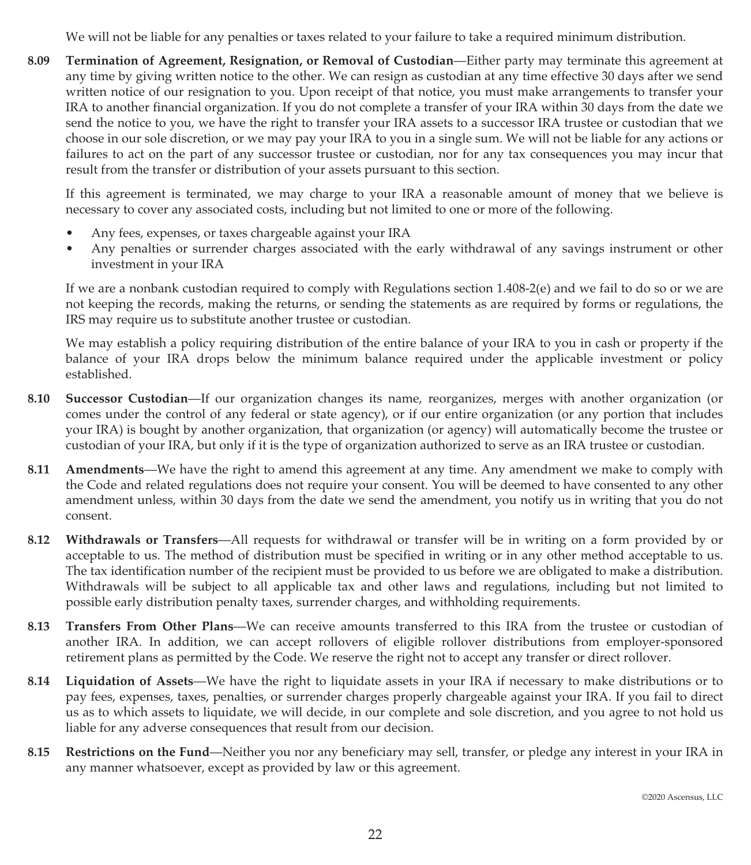We will not be liable for any penalties or taxes related to your failure to take a required minimum distribution.

**8.09 Termination of Agreement, Resignation, or Removal of Custodian**—Either party may terminate this agreement at any time by giving written notice to the other. We can resign as custodian at any time effective 30 days after we send written notice of our resignation to you. Upon receipt of that notice, you must make arrangements to transfer your IRA to another financial organization. If you do not complete a transfer of your IRA within 30 days from the date we send the notice to you, we have the right to transfer your IRA assets to a successor IRA trustee or custodian that we choose in our sole discretion, or we may pay your IRA to you in a single sum. We will not be liable for any actions or failures to act on the part of any successor trustee or custodian, nor for any tax consequences you may incur that result from the transfer or distribution of your assets pursuant to this section.

If this agreement is terminated, we may charge to your IRA a reasonable amount of money that we believe is necessary to cover any associated costs, including but not limited to one or more of the following.

- Any fees, expenses, or taxes chargeable against your IRA
- Any penalties or surrender charges associated with the early withdrawal of any savings instrument or other investment in your IRA

If we are a nonbank custodian required to comply with Regulations section 1.408-2(e) and we fail to do so or we are not keeping the records, making the returns, or sending the statements as are required by forms or regulations, the IRS may require us to substitute another trustee or custodian.

We may establish a policy requiring distribution of the entire balance of your IRA to you in cash or property if the balance of your IRA drops below the minimum balance required under the applicable investment or policy established.

- **8.10 Successor Custodian**—If our organization changes its name, reorganizes, merges with another organization (or comes under the control of any federal or state agency), or if our entire organization (or any portion that includes your IRA) is bought by another organization, that organization (or agency) will automatically become the trustee or custodian of your IRA, but only if it is the type of organization authorized to serve as an IRA trustee or custodian.
- **8.11 Amendments**—We have the right to amend this agreement at any time. Any amendment we make to comply with the Code and related regulations does not require your consent. You will be deemed to have consented to any other amendment unless, within 30 days from the date we send the amendment, you notify us in writing that you do not consent.
- **8.12 Withdrawals or Transfers**—All requests for withdrawal or transfer will be in writing on a form provided by or acceptable to us. The method of distribution must be specified in writing or in any other method acceptable to us. The tax identification number of the recipient must be provided to us before we are obligated to make a distribution. Withdrawals will be subject to all applicable tax and other laws and regulations, including but not limited to possible early distribution penalty taxes, surrender charges, and withholding requirements.
- **8.13 Transfers From Other Plans**—We can receive amounts transferred to this IRA from the trustee or custodian of another IRA. In addition, we can accept rollovers of eligible rollover distributions from employer-sponsored retirement plans as permitted by the Code. We reserve the right not to accept any transfer or direct rollover.
- **8.14 Liquidation of Assets**—We have the right to liquidate assets in your IRA if necessary to make distributions or to pay fees, expenses, taxes, penalties, or surrender charges properly chargeable against your IRA. If you fail to direct us as to which assets to liquidate, we will decide, in our complete and sole discretion, and you agree to not hold us liable for any adverse consequences that result from our decision.
- **8.15 Restrictions on the Fund**—Neither you nor any beneficiary may sell, transfer, or pledge any interest in your IRA in any manner whatsoever, except as provided by law or this agreement.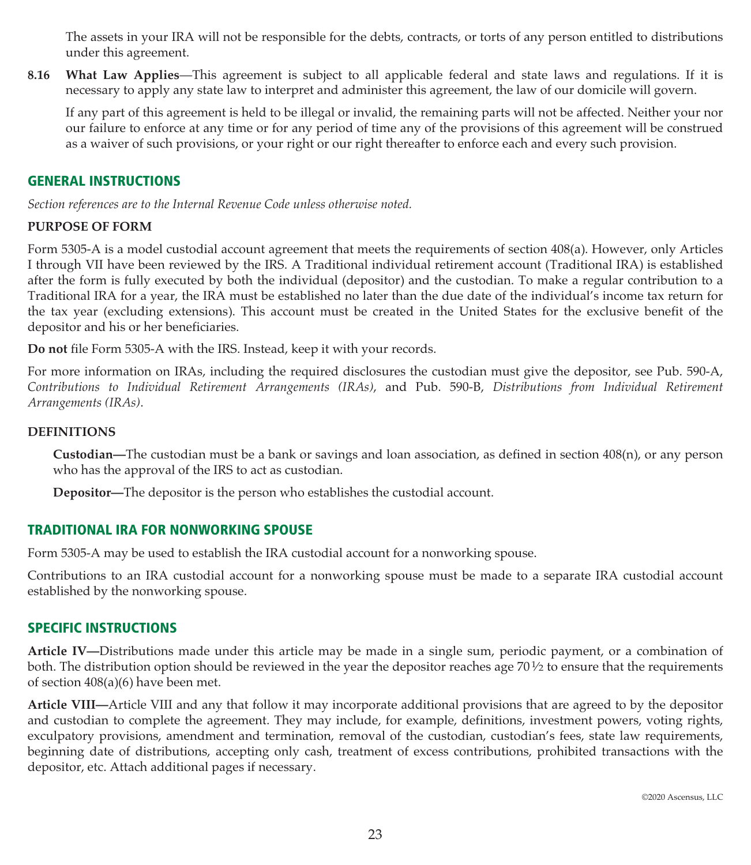The assets in your IRA will not be responsible for the debts, contracts, or torts of any person entitled to distributions under this agreement.

**8.16 What Law Applies**—This agreement is subject to all applicable federal and state laws and regulations. If it is necessary to apply any state law to interpret and administer this agreement, the law of our domicile will govern.

If any part of this agreement is held to be illegal or invalid, the remaining parts will not be affected. Neither your nor our failure to enforce at any time or for any period of time any of the provisions of this agreement will be construed as a waiver of such provisions, or your right or our right thereafter to enforce each and every such provision.

#### **GENERAL INSTRUCTIONS**

*Section references are to the Internal Revenue Code unless otherwise noted.*

#### **PURPOSE OF FORM**

Form 5305-A is a model custodial account agreement that meets the requirements of section 408(a). However, only Articles I through VII have been reviewed by the IRS. A Traditional individual retirement account (Traditional IRA) is established after the form is fully executed by both the individual (depositor) and the custodian. To make a regular contribution to a Traditional IRA for a year, the IRA must be established no later than the due date of the individual's income tax return for the tax year (excluding extensions). This account must be created in the United States for the exclusive benefit of the depositor and his or her beneficiaries.

**Do not** file Form 5305-A with the IRS. Instead, keep it with your records.

For more information on IRAs, including the required disclosures the custodian must give the depositor, see Pub. 590-A, *Contributions to Individual Retirement Arrangements (IRAs)*, and Pub. 590-B, *Distributions from Individual Retirement Arrangements (IRAs)*.

#### **DEFINITIONS**

**Custodian—**The custodian must be a bank or savings and loan association, as defined in section 408(n), or any person who has the approval of the IRS to act as custodian.

**Depositor—**The depositor is the person who establishes the custodial account.

#### **TRADITIONAL IRA FOR NONWORKING SPOUSE**

Form 5305-A may be used to establish the IRA custodial account for a nonworking spouse.

Contributions to an IRA custodial account for a nonworking spouse must be made to a separate IRA custodial account established by the nonworking spouse.

#### **SPECIFIC INSTRUCTIONS**

**Article IV—**Distributions made under this article may be made in a single sum, periodic payment, or a combination of both. The distribution option should be reviewed in the year the depositor reaches age 701⁄2 to ensure that the requirements of section 408(a)(6) have been met.

**Article VIII—**Article VIII and any that follow it may incorporate additional provisions that are agreed to by the depositor and custodian to complete the agreement. They may include, for example, definitions, investment powers, voting rights, exculpatory provisions, amendment and termination, removal of the custodian, custodian's fees, state law requirements, beginning date of distributions, accepting only cash, treatment of excess contributions, prohibited transactions with the depositor, etc. Attach additional pages if necessary.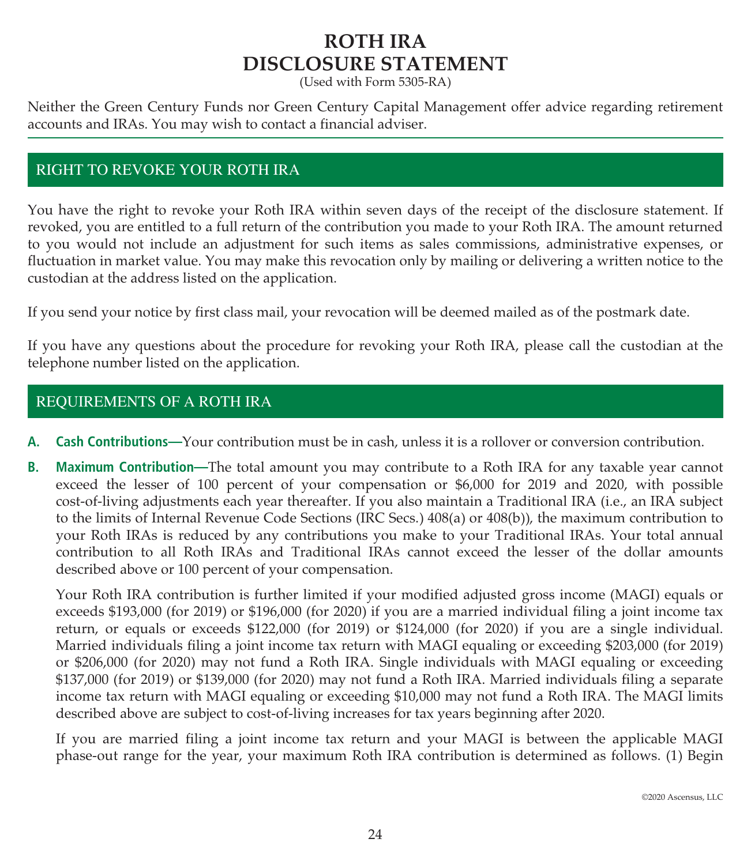# **ROTH IRA DISCLOSURE STATEMENT**

(Used with Form 5305-RA)

Neither the Green Century Funds nor Green Century Capital Management offer advice regarding retirement accounts and IRAs. You may wish to contact a financial adviser.

# RIGHT TO REVOKE YOUR ROTH IRA

You have the right to revoke your Roth IRA within seven days of the receipt of the disclosure statement. If revoked, you are entitled to a full return of the contribution you made to your Roth IRA. The amount returned to you would not include an adjustment for such items as sales commissions, administrative expenses, or fluctuation in market value. You may make this revocation only by mailing or delivering a written notice to the custodian at the address listed on the application.

If you send your notice by first class mail, your revocation will be deemed mailed as of the postmark date.

If you have any questions about the procedure for revoking your Roth IRA, please call the custodian at the telephone number listed on the application.

# REQUIREMENTS OF A ROTH IRA

- **A. Cash Contributions—**Your contribution must be in cash, unless it is a rollover or conversion contribution.
- **B. Maximum Contribution—**The total amount you may contribute to a Roth IRA for any taxable year cannot exceed the lesser of 100 percent of your compensation or \$6,000 for 2019 and 2020, with possible cost-of-living adjustments each year thereafter. If you also maintain a Traditional IRA (i.e., an IRA subject to the limits of Internal Revenue Code Sections (IRC Secs.) 408(a) or 408(b)), the maximum contribution to your Roth IRAs is reduced by any contributions you make to your Traditional IRAs. Your total annual contribution to all Roth IRAs and Traditional IRAs cannot exceed the lesser of the dollar amounts described above or 100 percent of your compensation.

Your Roth IRA contribution is further limited if your modified adjusted gross income (MAGI) equals or exceeds \$193,000 (for 2019) or \$196,000 (for 2020) if you are a married individual filing a joint income tax return, or equals or exceeds \$122,000 (for 2019) or \$124,000 (for 2020) if you are a single individual. Married individuals filing a joint income tax return with MAGI equaling or exceeding \$203,000 (for 2019) or \$206,000 (for 2020) may not fund a Roth IRA. Single individuals with MAGI equaling or exceeding \$137,000 (for 2019) or \$139,000 (for 2020) may not fund a Roth IRA. Married individuals filing a separate income tax return with MAGI equaling or exceeding \$10,000 may not fund a Roth IRA. The MAGI limits described above are subject to cost-of-living increases for tax years beginning after 2020.

If you are married filing a joint income tax return and your MAGI is between the applicable MAGI phase-out range for the year, your maximum Roth IRA contribution is determined as follows. (1) Begin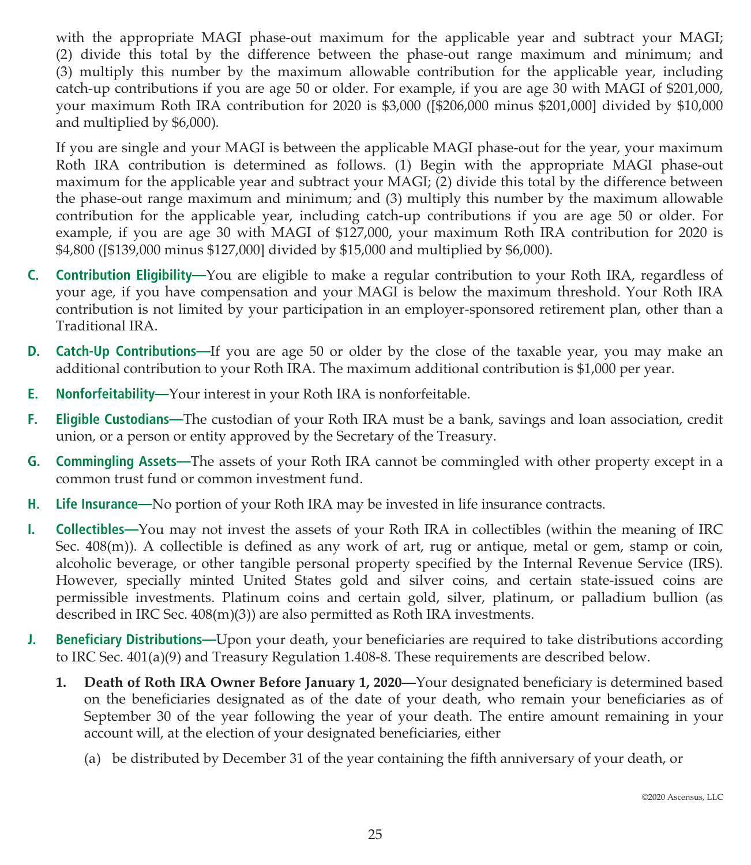with the appropriate MAGI phase-out maximum for the applicable year and subtract your MAGI; (2) divide this total by the difference between the phase-out range maximum and minimum; and (3) multiply this number by the maximum allowable contribution for the applicable year, including catch-up contributions if you are age 50 or older. For example, if you are age 30 with MAGI of \$201,000, your maximum Roth IRA contribution for 2020 is \$3,000 ([\$206,000 minus \$201,000] divided by \$10,000 and multiplied by \$6,000).

If you are single and your MAGI is between the applicable MAGI phase-out for the year, your maximum Roth IRA contribution is determined as follows. (1) Begin with the appropriate MAGI phase-out maximum for the applicable year and subtract your MAGI; (2) divide this total by the difference between the phase-out range maximum and minimum; and (3) multiply this number by the maximum allowable contribution for the applicable year, including catch-up contributions if you are age 50 or older. For example, if you are age 30 with MAGI of \$127,000, your maximum Roth IRA contribution for 2020 is \$4,800 ([\$139,000 minus \$127,000] divided by \$15,000 and multiplied by \$6,000).

- **C. Contribution Eligibility—**You are eligible to make a regular contribution to your Roth IRA, regardless of your age, if you have compensation and your MAGI is below the maximum threshold. Your Roth IRA contribution is not limited by your participation in an employer-sponsored retirement plan, other than a Traditional IRA.
- **D. Catch-Up Contributions—**If you are age 50 or older by the close of the taxable year, you may make an additional contribution to your Roth IRA. The maximum additional contribution is \$1,000 per year.
- **E. Nonforfeitability—**Your interest in your Roth IRA is nonforfeitable.
- **F. Eligible Custodians—**The custodian of your Roth IRA must be a bank, savings and loan association, credit union, or a person or entity approved by the Secretary of the Treasury.
- **G. Commingling Assets—**The assets of your Roth IRA cannot be commingled with other property except in a common trust fund or common investment fund.
- **H. Life Insurance—**No portion of your Roth IRA may be invested in life insurance contracts.
- **I. Collectibles—**You may not invest the assets of your Roth IRA in collectibles (within the meaning of IRC Sec. 408(m)). A collectible is defined as any work of art, rug or antique, metal or gem, stamp or coin, alcoholic beverage, or other tangible personal property specified by the Internal Revenue Service (IRS). However, specially minted United States gold and silver coins, and certain state-issued coins are permissible investments. Platinum coins and certain gold, silver, platinum, or palladium bullion (as described in IRC Sec. 408(m)(3)) are also permitted as Roth IRA investments.
- **J. Beneficiary Distributions—**Upon your death, your beneficiaries are required to take distributions according to IRC Sec. 401(a)(9) and Treasury Regulation 1.408-8. These requirements are described below.
	- **1. Death of Roth IRA Owner Before January 1, 2020—**Your designated beneficiary is determined based on the beneficiaries designated as of the date of your death, who remain your beneficiaries as of September 30 of the year following the year of your death. The entire amount remaining in your account will, at the election of your designated beneficiaries, either
		- (a) be distributed by December 31 of the year containing the fifth anniversary of your death, or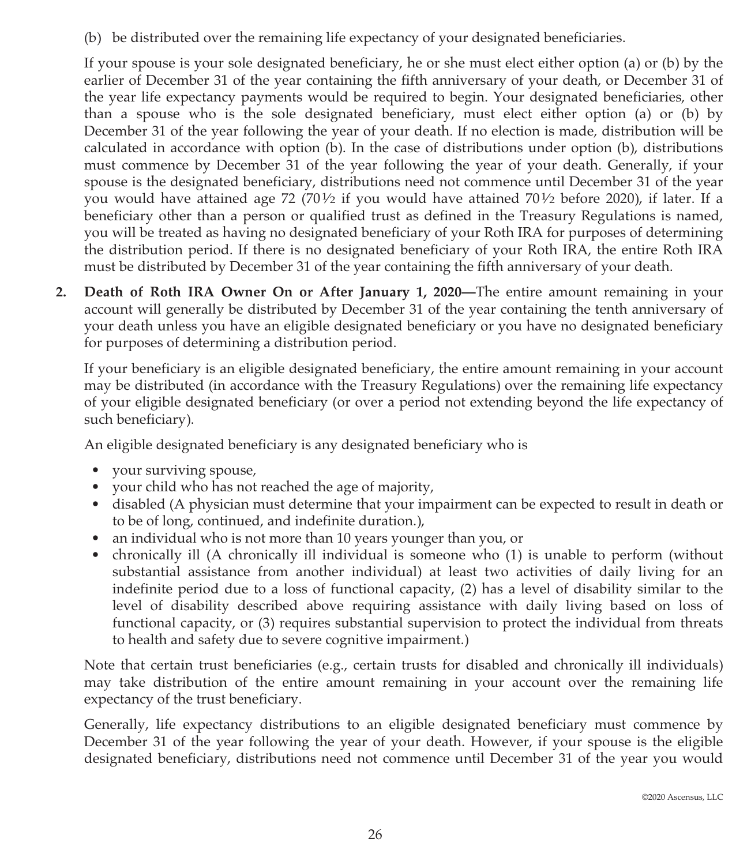(b) be distributed over the remaining life expectancy of your designated beneficiaries.

If your spouse is your sole designated beneficiary, he or she must elect either option (a) or (b) by the earlier of December 31 of the year containing the fifth anniversary of your death, or December 31 of the year life expectancy payments would be required to begin. Your designated beneficiaries, other than a spouse who is the sole designated beneficiary, must elect either option (a) or (b) by December 31 of the year following the year of your death. If no election is made, distribution will be calculated in accordance with option (b). In the case of distributions under option (b), distributions must commence by December 31 of the year following the year of your death. Generally, if your spouse is the designated beneficiary, distributions need not commence until December 31 of the year you would have attained age 72 (70½ if you would have attained 70½ before 2020), if later. If a beneficiary other than a person or qualified trust as defined in the Treasury Regulations is named, you will be treated as having no designated beneficiary of your Roth IRA for purposes of determining the distribution period. If there is no designated beneficiary of your Roth IRA, the entire Roth IRA must be distributed by December 31 of the year containing the fifth anniversary of your death.

**2. Death of Roth IRA Owner On or After January 1, 2020—**The entire amount remaining in your account will generally be distributed by December 31 of the year containing the tenth anniversary of your death unless you have an eligible designated beneficiary or you have no designated beneficiary for purposes of determining a distribution period.

If your beneficiary is an eligible designated beneficiary, the entire amount remaining in your account may be distributed (in accordance with the Treasury Regulations) over the remaining life expectancy of your eligible designated beneficiary (or over a period not extending beyond the life expectancy of such beneficiary).

An eligible designated beneficiary is any designated beneficiary who is

- your surviving spouse,
- your child who has not reached the age of majority,
- disabled (A physician must determine that your impairment can be expected to result in death or to be of long, continued, and indefinite duration.),
- an individual who is not more than 10 years younger than you, or
- chronically ill (A chronically ill individual is someone who (1) is unable to perform (without substantial assistance from another individual) at least two activities of daily living for an indefinite period due to a loss of functional capacity, (2) has a level of disability similar to the level of disability described above requiring assistance with daily living based on loss of functional capacity, or (3) requires substantial supervision to protect the individual from threats to health and safety due to severe cognitive impairment.)

Note that certain trust beneficiaries (e.g., certain trusts for disabled and chronically ill individuals) may take distribution of the entire amount remaining in your account over the remaining life expectancy of the trust beneficiary.

Generally, life expectancy distributions to an eligible designated beneficiary must commence by December 31 of the year following the year of your death. However, if your spouse is the eligible designated beneficiary, distributions need not commence until December 31 of the year you would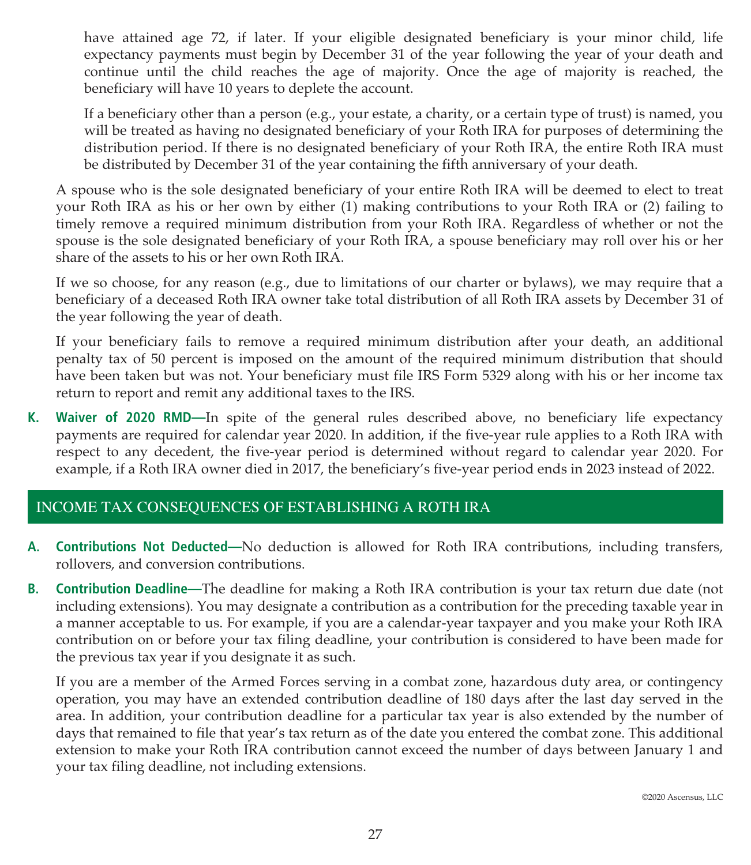have attained age 72, if later. If your eligible designated beneficiary is your minor child, life expectancy payments must begin by December 31 of the year following the year of your death and continue until the child reaches the age of majority. Once the age of majority is reached, the beneficiary will have 10 years to deplete the account.

If a beneficiary other than a person (e.g., your estate, a charity, or a certain type of trust) is named, you will be treated as having no designated beneficiary of your Roth IRA for purposes of determining the distribution period. If there is no designated beneficiary of your Roth IRA, the entire Roth IRA must be distributed by December 31 of the year containing the fifth anniversary of your death.

A spouse who is the sole designated beneficiary of your entire Roth IRA will be deemed to elect to treat your Roth IRA as his or her own by either (1) making contributions to your Roth IRA or (2) failing to timely remove a required minimum distribution from your Roth IRA. Regardless of whether or not the spouse is the sole designated beneficiary of your Roth IRA, a spouse beneficiary may roll over his or her share of the assets to his or her own Roth IRA.

If we so choose, for any reason (e.g., due to limitations of our charter or bylaws), we may require that a beneficiary of a deceased Roth IRA owner take total distribution of all Roth IRA assets by December 31 of the year following the year of death.

If your beneficiary fails to remove a required minimum distribution after your death, an additional penalty tax of 50 percent is imposed on the amount of the required minimum distribution that should have been taken but was not. Your beneficiary must file IRS Form 5329 along with his or her income tax return to report and remit any additional taxes to the IRS.

**K. Waiver of 2020 RMD—**In spite of the general rules described above, no beneficiary life expectancy payments are required for calendar year 2020. In addition, if the five-year rule applies to a Roth IRA with respect to any decedent, the five-year period is determined without regard to calendar year 2020. For example, if a Roth IRA owner died in 2017, the beneficiary's five-year period ends in 2023 instead of 2022.

# INCOME TAX CONSEQUENCES OF ESTABLISHING A ROTH IRA

- **A. Contributions Not Deducted—**No deduction is allowed for Roth IRA contributions, including transfers, rollovers, and conversion contributions.
- **B. Contribution Deadline—**The deadline for making a Roth IRA contribution is your tax return due date (not including extensions). You may designate a contribution as a contribution for the preceding taxable year in a manner acceptable to us. For example, if you are a calendar-year taxpayer and you make your Roth IRA contribution on or before your tax filing deadline, your contribution is considered to have been made for the previous tax year if you designate it as such.

If you are a member of the Armed Forces serving in a combat zone, hazardous duty area, or contingency operation, you may have an extended contribution deadline of 180 days after the last day served in the area. In addition, your contribution deadline for a particular tax year is also extended by the number of days that remained to file that year's tax return as of the date you entered the combat zone. This additional extension to make your Roth IRA contribution cannot exceed the number of days between January 1 and your tax filing deadline, not including extensions.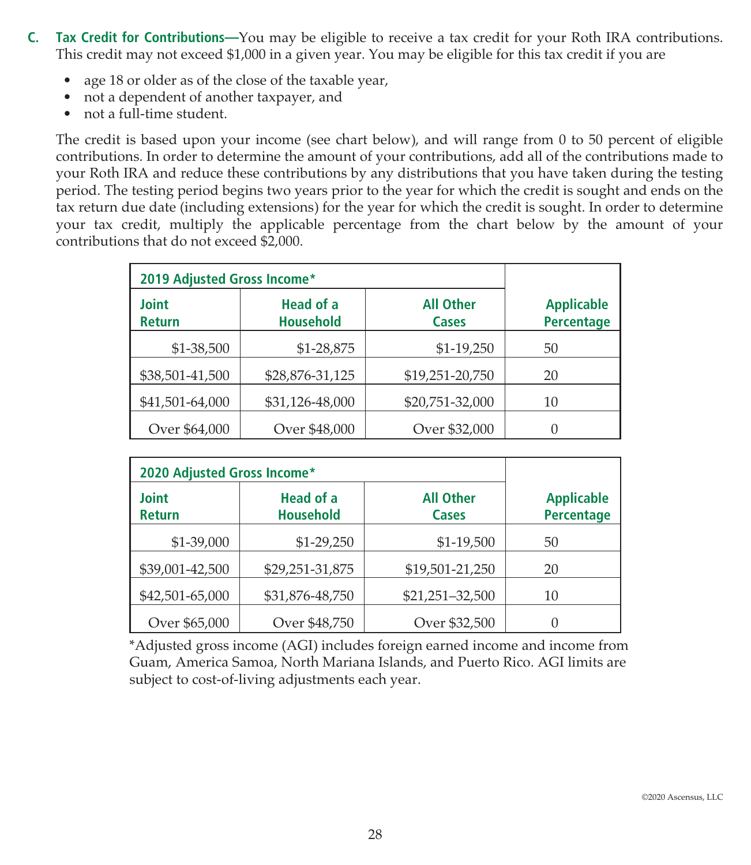- **C. Tax Credit for Contributions—**You may be eligible to receive a tax credit for your Roth IRA contributions. This credit may not exceed \$1,000 in a given year. You may be eligible for this tax credit if you are
	- age 18 or older as of the close of the taxable year,
	- not a dependent of another taxpayer, and
	- not a full-time student.

The credit is based upon your income (see chart below), and will range from 0 to 50 percent of eligible contributions. In order to determine the amount of your contributions, add all of the contributions made to your Roth IRA and reduce these contributions by any distributions that you have taken during the testing period. The testing period begins two years prior to the year for which the credit is sought and ends on the tax return due date (including extensions) for the year for which the credit is sought. In order to determine your tax credit, multiply the applicable percentage from the chart below by the amount of your contributions that do not exceed \$2,000.

| 2019 Adjusted Gross Income* |                               |                           |                                        |
|-----------------------------|-------------------------------|---------------------------|----------------------------------------|
| Joint<br><b>Return</b>      | Head of a<br><b>Household</b> | <b>All Other</b><br>Cases | <b>Applicable</b><br><b>Percentage</b> |
| $$1-38,500$                 | \$1-28,875                    | $$1-19,250$               | 50                                     |
| \$38,501-41,500             | \$28,876-31,125               | \$19,251-20,750           | 20                                     |
| \$41,501-64,000             | \$31,126-48,000               | \$20,751-32,000           | 10                                     |
| Over \$64,000               | Over \$48,000                 | Over \$32,000             | 0                                      |

| 2020 Adjusted Gross Income*   |                                      |                           |                                 |
|-------------------------------|--------------------------------------|---------------------------|---------------------------------|
| <b>Joint</b><br><b>Return</b> | <b>Head of a</b><br><b>Household</b> | <b>All Other</b><br>Cases | <b>Applicable</b><br>Percentage |
| \$1-39,000                    | $$1-29,250$                          | \$1-19,500                | 50                              |
| \$39,001-42,500               | \$29,251-31,875                      | \$19,501-21,250           | 20                              |
| \$42,501-65,000               | \$31,876-48,750                      | \$21,251-32,500           | 10                              |
| Over \$65,000                 | Over \$48,750                        | Over \$32,500             | 0                               |

\*Adjusted gross income (AGI) includes foreign earned income and income from Guam, America Samoa, North Mariana Islands, and Puerto Rico. AGI limits are subject to cost-of-living adjustments each year.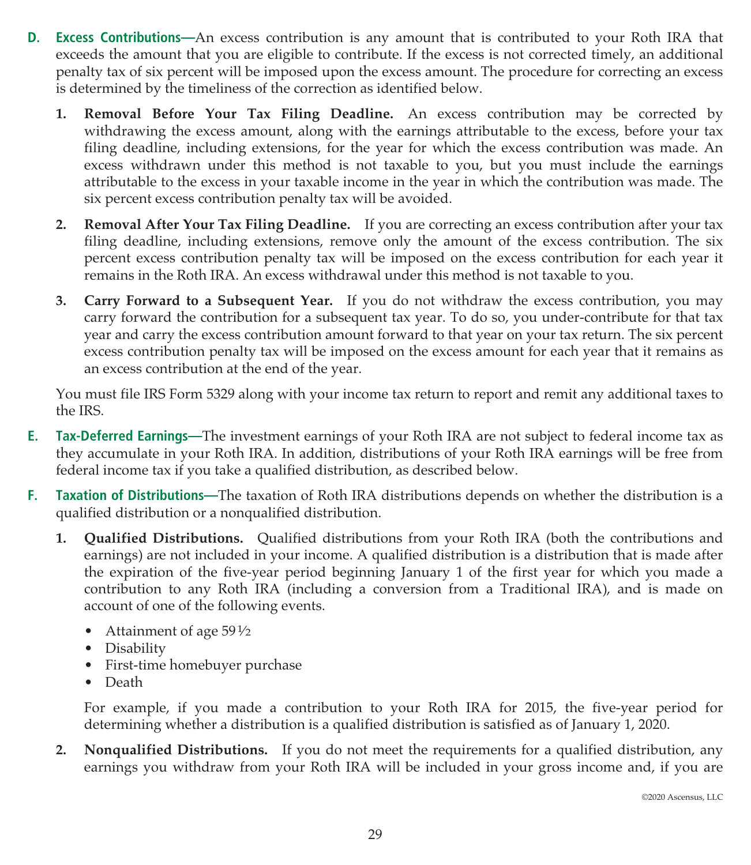- **D. Excess Contributions—**An excess contribution is any amount that is contributed to your Roth IRA that exceeds the amount that you are eligible to contribute. If the excess is not corrected timely, an additional penalty tax of six percent will be imposed upon the excess amount. The procedure for correcting an excess is determined by the timeliness of the correction as identified below.
	- **1. Removal Before Your Tax Filing Deadline.** An excess contribution may be corrected by withdrawing the excess amount, along with the earnings attributable to the excess, before your tax filing deadline, including extensions, for the year for which the excess contribution was made. An excess withdrawn under this method is not taxable to you, but you must include the earnings attributable to the excess in your taxable income in the year in which the contribution was made. The six percent excess contribution penalty tax will be avoided.
	- **2. Removal After Your Tax Filing Deadline.** If you are correcting an excess contribution after your tax filing deadline, including extensions, remove only the amount of the excess contribution. The six percent excess contribution penalty tax will be imposed on the excess contribution for each year it remains in the Roth IRA. An excess withdrawal under this method is not taxable to you.
	- **3. Carry Forward to a Subsequent Year.** If you do not withdraw the excess contribution, you may carry forward the contribution for a subsequent tax year. To do so, you under-contribute for that tax year and carry the excess contribution amount forward to that year on your tax return. The six percent excess contribution penalty tax will be imposed on the excess amount for each year that it remains as an excess contribution at the end of the year.

You must file IRS Form 5329 along with your income tax return to report and remit any additional taxes to the IRS.

- **E. Tax-Deferred Earnings—**The investment earnings of your Roth IRA are not subject to federal income tax as they accumulate in your Roth IRA. In addition, distributions of your Roth IRA earnings will be free from federal income tax if you take a qualified distribution, as described below.
- **F. Taxation of Distributions—**The taxation of Roth IRA distributions depends on whether the distribution is a qualified distribution or a nonqualified distribution.
	- **1. Qualified Distributions.** Qualified distributions from your Roth IRA (both the contributions and earnings) are not included in your income. A qualified distribution is a distribution that is made after the expiration of the five-year period beginning January 1 of the first year for which you made a contribution to any Roth IRA (including a conversion from a Traditional IRA), and is made on account of one of the following events.
		- Attainment of age  $59\frac{1}{2}$
		- Disability
		- First-time homebuyer purchase
		- Death

For example, if you made a contribution to your Roth IRA for 2015, the five-year period for determining whether a distribution is a qualified distribution is satisfied as of January 1, 2020.

**2. Nonqualified Distributions.** If you do not meet the requirements for a qualified distribution, any earnings you withdraw from your Roth IRA will be included in your gross income and, if you are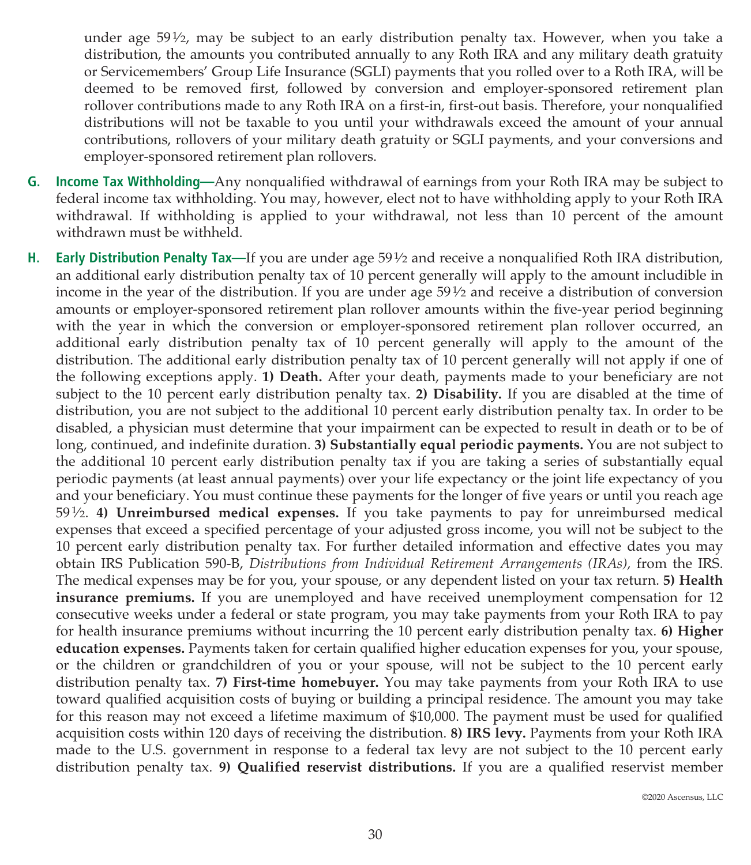under age  $59\frac{1}{2}$ , may be subject to an early distribution penalty tax. However, when you take a distribution, the amounts you contributed annually to any Roth IRA and any military death gratuity or Servicemembers' Group Life Insurance (SGLI) payments that you rolled over to a Roth IRA, will be deemed to be removed first, followed by conversion and employer-sponsored retirement plan rollover contributions made to any Roth IRA on a first-in, first-out basis. Therefore, your nonqualified distributions will not be taxable to you until your withdrawals exceed the amount of your annual contributions, rollovers of your military death gratuity or SGLI payments, and your conversions and employer-sponsored retirement plan rollovers.

- **G. Income Tax Withholding—**Any nonqualified withdrawal of earnings from your Roth IRA may be subject to federal income tax withholding. You may, however, elect not to have withholding apply to your Roth IRA withdrawal. If withholding is applied to your withdrawal, not less than 10 percent of the amount withdrawn must be withheld.
- **H.** Early Distribution Penalty Tax—If you are under age 59 $\frac{1}{2}$  and receive a nonqualified Roth IRA distribution, an additional early distribution penalty tax of 10 percent generally will apply to the amount includible in income in the year of the distribution. If you are under age  $59\frac{1}{2}$  and receive a distribution of conversion amounts or employer-sponsored retirement plan rollover amounts within the five-year period beginning with the year in which the conversion or employer-sponsored retirement plan rollover occurred, an additional early distribution penalty tax of 10 percent generally will apply to the amount of the distribution. The additional early distribution penalty tax of 10 percent generally will not apply if one of the following exceptions apply. **1) Death.** After your death, payments made to your beneficiary are not subject to the 10 percent early distribution penalty tax. **2) Disability.** If you are disabled at the time of distribution, you are not subject to the additional 10 percent early distribution penalty tax. In order to be disabled, a physician must determine that your impairment can be expected to result in death or to be of long, continued, and indefinite duration. **3) Substantially equal periodic payments.** You are not subject to the additional 10 percent early distribution penalty tax if you are taking a series of substantially equal periodic payments (at least annual payments) over your life expectancy or the joint life expectancy of you and your beneficiary. You must continue these payments for the longer of five years or until you reach age 591⁄2. **4) Unreimbursed medical expenses.** If you take payments to pay for unreimbursed medical expenses that exceed a specified percentage of your adjusted gross income, you will not be subject to the 10 percent early distribution penalty tax. For further detailed information and effective dates you may obtain IRS Publication 590-B, *Distributions from Individual Retirement Arrangements (IRAs),* from the IRS. The medical expenses may be for you, your spouse, or any dependent listed on your tax return. **5) Health insurance premiums.** If you are unemployed and have received unemployment compensation for 12 consecutive weeks under a federal or state program, you may take payments from your Roth IRA to pay for health insurance premiums without incurring the 10 percent early distribution penalty tax. **6) Higher education expenses.** Payments taken for certain qualified higher education expenses for you, your spouse, or the children or grandchildren of you or your spouse, will not be subject to the 10 percent early distribution penalty tax. **7) First-time homebuyer.** You may take payments from your Roth IRA to use toward qualified acquisition costs of buying or building a principal residence. The amount you may take for this reason may not exceed a lifetime maximum of \$10,000. The payment must be used for qualified acquisition costs within 120 days of receiving the distribution. **8) IRS levy.** Payments from your Roth IRA made to the U.S. government in response to a federal tax levy are not subject to the 10 percent early distribution penalty tax. **9) Qualified reservist distributions.** If you are a qualified reservist member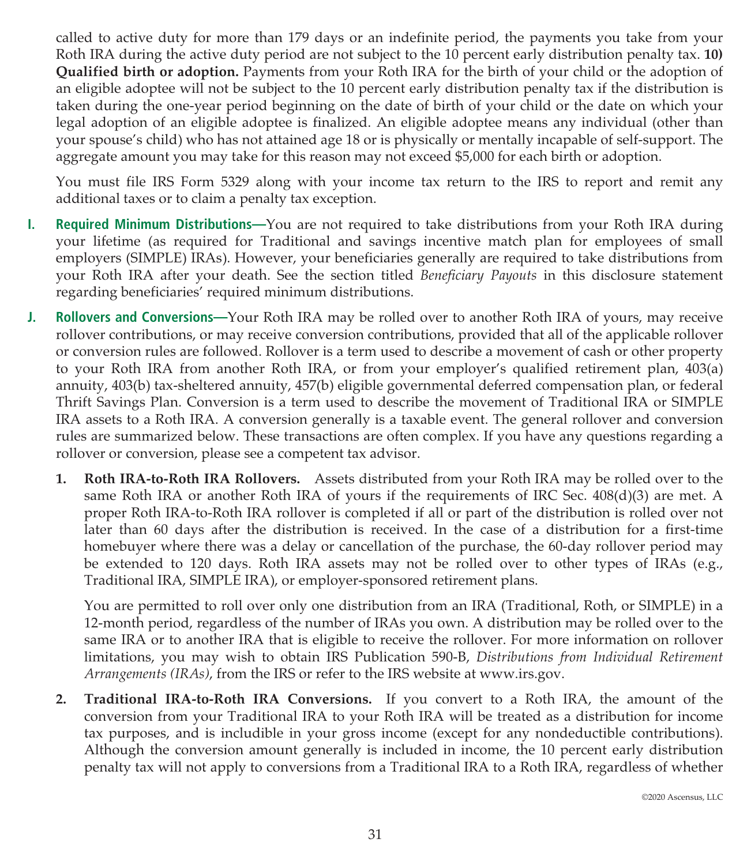called to active duty for more than 179 days or an indefinite period, the payments you take from your Roth IRA during the active duty period are not subject to the 10 percent early distribution penalty tax. **10) Qualified birth or adoption.** Payments from your Roth IRA for the birth of your child or the adoption of an eligible adoptee will not be subject to the 10 percent early distribution penalty tax if the distribution is taken during the one-year period beginning on the date of birth of your child or the date on which your legal adoption of an eligible adoptee is finalized. An eligible adoptee means any individual (other than your spouse's child) who has not attained age 18 or is physically or mentally incapable of self-support. The aggregate amount you may take for this reason may not exceed \$5,000 for each birth or adoption.

You must file IRS Form 5329 along with your income tax return to the IRS to report and remit any additional taxes or to claim a penalty tax exception.

- **I. Required Minimum Distributions—**You are not required to take distributions from your Roth IRA during your lifetime (as required for Traditional and savings incentive match plan for employees of small employers (SIMPLE) IRAs). However, your beneficiaries generally are required to take distributions from your Roth IRA after your death. See the section titled *Beneficiary Payouts* in this disclosure statement regarding beneficiaries' required minimum distributions.
- **J. Rollovers and Conversions—**Your Roth IRA may be rolled over to another Roth IRA of yours, may receive rollover contributions, or may receive conversion contributions, provided that all of the applicable rollover or conversion rules are followed. Rollover is a term used to describe a movement of cash or other property to your Roth IRA from another Roth IRA, or from your employer's qualified retirement plan, 403(a) annuity, 403(b) tax-sheltered annuity, 457(b) eligible governmental deferred compensation plan, or federal Thrift Savings Plan. Conversion is a term used to describe the movement of Traditional IRA or SIMPLE IRA assets to a Roth IRA. A conversion generally is a taxable event. The general rollover and conversion rules are summarized below. These transactions are often complex. If you have any questions regarding a rollover or conversion, please see a competent tax advisor.
	- **1. Roth IRA-to-Roth IRA Rollovers.** Assets distributed from your Roth IRA may be rolled over to the same Roth IRA or another Roth IRA of yours if the requirements of IRC Sec.  $408(d)(3)$  are met. A proper Roth IRA-to-Roth IRA rollover is completed if all or part of the distribution is rolled over not later than 60 days after the distribution is received. In the case of a distribution for a first-time homebuyer where there was a delay or cancellation of the purchase, the 60-day rollover period may be extended to 120 days. Roth IRA assets may not be rolled over to other types of IRAs (e.g., Traditional IRA, SIMPLE IRA), or employer-sponsored retirement plans.

You are permitted to roll over only one distribution from an IRA (Traditional, Roth, or SIMPLE) in a 12-month period, regardless of the number of IRAs you own. A distribution may be rolled over to the same IRA or to another IRA that is eligible to receive the rollover. For more information on rollover limitations, you may wish to obtain IRS Publication 590-B, *Distributions from Individual Retirement Arrangements (IRAs)*, from the IRS or refer to the IRS website at www.irs.gov.

**2. Traditional IRA-to-Roth IRA Conversions.** If you convert to a Roth IRA, the amount of the conversion from your Traditional IRA to your Roth IRA will be treated as a distribution for income tax purposes, and is includible in your gross income (except for any nondeductible contributions). Although the conversion amount generally is included in income, the 10 percent early distribution penalty tax will not apply to conversions from a Traditional IRA to a Roth IRA, regardless of whether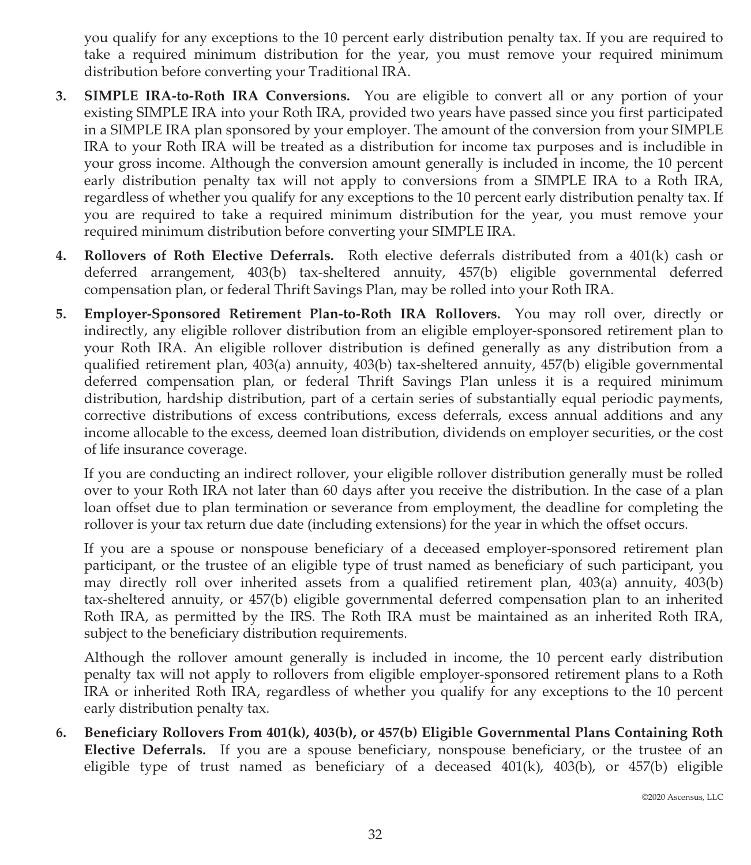you qualify for any exceptions to the 10 percent early distribution penalty tax. If you are required to take a required minimum distribution for the year, you must remove your required minimum distribution before converting your Traditional IRA.

- **3. SIMPLE IRA-to-Roth IRA Conversions.** You are eligible to convert all or any portion of your existing SIMPLE IRA into your Roth IRA, provided two years have passed since you first participated in a SIMPLE IRA plan sponsored by your employer. The amount of the conversion from your SIMPLE IRA to your Roth IRA will be treated as a distribution for income tax purposes and is includible in your gross income. Although the conversion amount generally is included in income, the 10 percent early distribution penalty tax will not apply to conversions from a SIMPLE IRA to a Roth IRA, regardless of whether you qualify for any exceptions to the 10 percent early distribution penalty tax. If you are required to take a required minimum distribution for the year, you must remove your required minimum distribution before converting your SIMPLE IRA.
- **4. Rollovers of Roth Elective Deferrals.** Roth elective deferrals distributed from a 401(k) cash or deferred arrangement, 403(b) tax-sheltered annuity, 457(b) eligible governmental deferred compensation plan, or federal Thrift Savings Plan, may be rolled into your Roth IRA.
- **5. Employer-Sponsored Retirement Plan-to-Roth IRA Rollovers.** You may roll over, directly or indirectly, any eligible rollover distribution from an eligible employer-sponsored retirement plan to your Roth IRA. An eligible rollover distribution is defined generally as any distribution from a qualified retirement plan, 403(a) annuity, 403(b) tax-sheltered annuity, 457(b) eligible governmental deferred compensation plan, or federal Thrift Savings Plan unless it is a required minimum distribution, hardship distribution, part of a certain series of substantially equal periodic payments, corrective distributions of excess contributions, excess deferrals, excess annual additions and any income allocable to the excess, deemed loan distribution, dividends on employer securities, or the cost of life insurance coverage.

If you are conducting an indirect rollover, your eligible rollover distribution generally must be rolled over to your Roth IRA not later than 60 days after you receive the distribution. In the case of a plan loan offset due to plan termination or severance from employment, the deadline for completing the rollover is your tax return due date (including extensions) for the year in which the offset occurs.

If you are a spouse or nonspouse beneficiary of a deceased employer-sponsored retirement plan participant, or the trustee of an eligible type of trust named as beneficiary of such participant, you may directly roll over inherited assets from a qualified retirement plan, 403(a) annuity, 403(b) tax-sheltered annuity, or 457(b) eligible governmental deferred compensation plan to an inherited Roth IRA, as permitted by the IRS. The Roth IRA must be maintained as an inherited Roth IRA, subject to the beneficiary distribution requirements.

Although the rollover amount generally is included in income, the 10 percent early distribution penalty tax will not apply to rollovers from eligible employer-sponsored retirement plans to a Roth IRA or inherited Roth IRA, regardless of whether you qualify for any exceptions to the 10 percent early distribution penalty tax.

**6. Beneficiary Rollovers From 401(k), 403(b), or 457(b) Eligible Governmental Plans Containing Roth Elective Deferrals.** If you are a spouse beneficiary, nonspouse beneficiary, or the trustee of an eligible type of trust named as beneficiary of a deceased  $401(k)$ ,  $403(b)$ , or  $457(b)$  eligible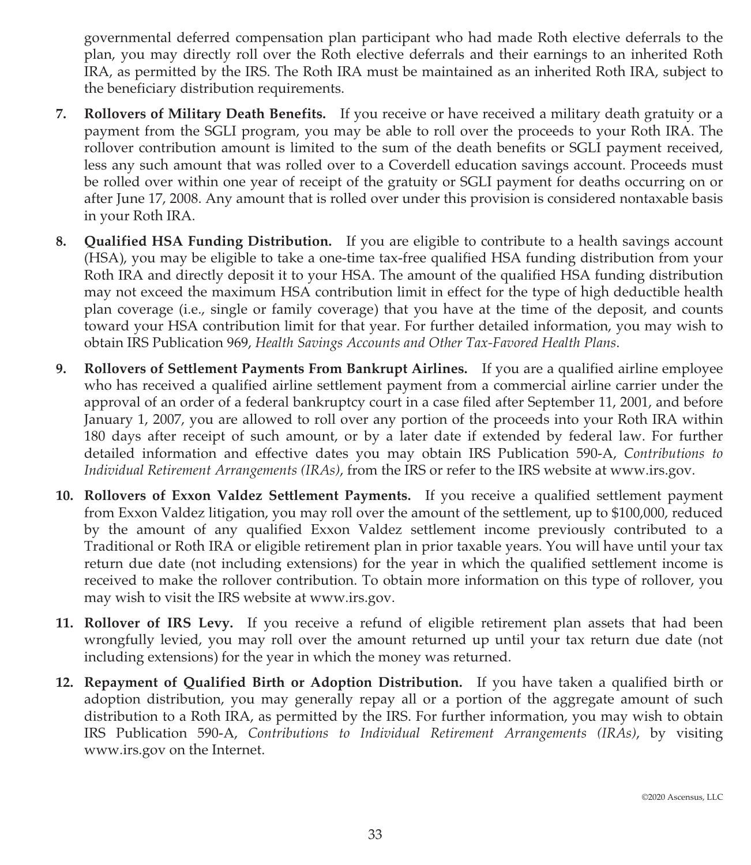governmental deferred compensation plan participant who had made Roth elective deferrals to the plan, you may directly roll over the Roth elective deferrals and their earnings to an inherited Roth IRA, as permitted by the IRS. The Roth IRA must be maintained as an inherited Roth IRA, subject to the beneficiary distribution requirements.

- **7. Rollovers of Military Death Benefits.** If you receive or have received a military death gratuity or a payment from the SGLI program, you may be able to roll over the proceeds to your Roth IRA. The rollover contribution amount is limited to the sum of the death benefits or SGLI payment received, less any such amount that was rolled over to a Coverdell education savings account. Proceeds must be rolled over within one year of receipt of the gratuity or SGLI payment for deaths occurring on or after June 17, 2008. Any amount that is rolled over under this provision is considered nontaxable basis in your Roth IRA.
- **8. Qualified HSA Funding Distribution.** If you are eligible to contribute to a health savings account (HSA), you may be eligible to take a one-time tax-free qualified HSA funding distribution from your Roth IRA and directly deposit it to your HSA. The amount of the qualified HSA funding distribution may not exceed the maximum HSA contribution limit in effect for the type of high deductible health plan coverage (i.e., single or family coverage) that you have at the time of the deposit, and counts toward your HSA contribution limit for that year. For further detailed information, you may wish to obtain IRS Publication 969, *Health Savings Accounts and Other Tax-Favored Health Plans*.
- **9. Rollovers of Settlement Payments From Bankrupt Airlines.** If you are a qualified airline employee who has received a qualified airline settlement payment from a commercial airline carrier under the approval of an order of a federal bankruptcy court in a case filed after September 11, 2001, and before January 1, 2007, you are allowed to roll over any portion of the proceeds into your Roth IRA within 180 days after receipt of such amount, or by a later date if extended by federal law. For further detailed information and effective dates you may obtain IRS Publication 590-A, *Contributions to Individual Retirement Arrangements (IRAs)*, from the IRS or refer to the IRS website at www.irs.gov.
- **10. Rollovers of Exxon Valdez Settlement Payments.** If you receive a qualified settlement payment from Exxon Valdez litigation, you may roll over the amount of the settlement, up to \$100,000, reduced by the amount of any qualified Exxon Valdez settlement income previously contributed to a Traditional or Roth IRA or eligible retirement plan in prior taxable years. You will have until your tax return due date (not including extensions) for the year in which the qualified settlement income is received to make the rollover contribution. To obtain more information on this type of rollover, you may wish to visit the IRS website at www.irs.gov.
- **11. Rollover of IRS Levy.** If you receive a refund of eligible retirement plan assets that had been wrongfully levied, you may roll over the amount returned up until your tax return due date (not including extensions) for the year in which the money was returned.
- **12. Repayment of Qualified Birth or Adoption Distribution.** If you have taken a qualified birth or adoption distribution, you may generally repay all or a portion of the aggregate amount of such distribution to a Roth IRA, as permitted by the IRS. For further information, you may wish to obtain IRS Publication 590-A, *Contributions to Individual Retirement Arrangements (IRAs)*, by visiting www.irs.gov on the Internet.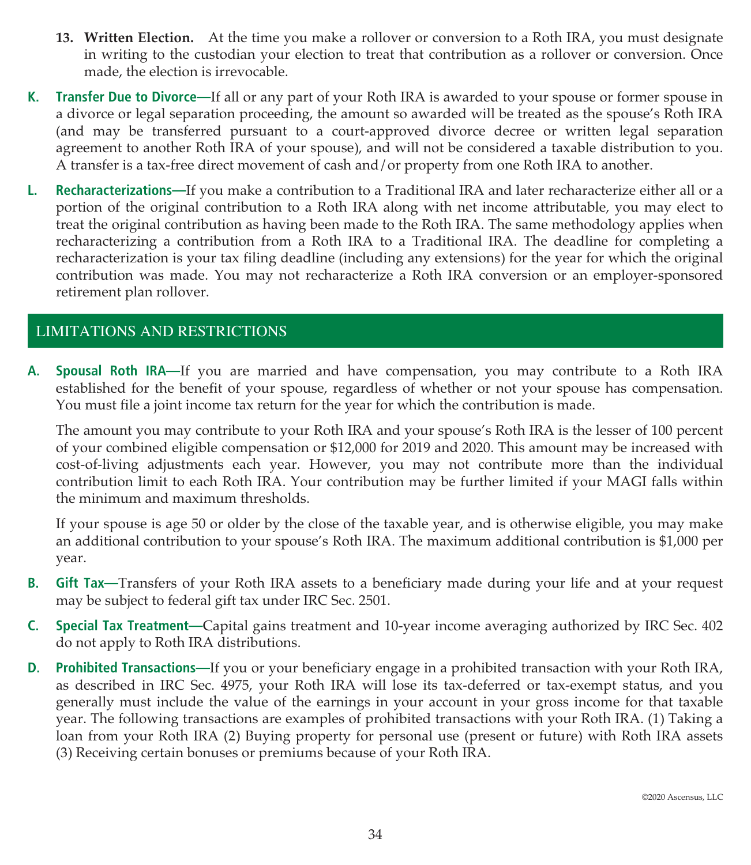- **13. Written Election.** At the time you make a rollover or conversion to a Roth IRA, you must designate in writing to the custodian your election to treat that contribution as a rollover or conversion. Once made, the election is irrevocable.
- **K. Transfer Due to Divorce—**If all or any part of your Roth IRA is awarded to your spouse or former spouse in a divorce or legal separation proceeding, the amount so awarded will be treated as the spouse's Roth IRA (and may be transferred pursuant to a court-approved divorce decree or written legal separation agreement to another Roth IRA of your spouse), and will not be considered a taxable distribution to you. A transfer is a tax-free direct movement of cash and/or property from one Roth IRA to another.
- **L. Recharacterizations—**If you make a contribution to a Traditional IRA and later recharacterize either all or a portion of the original contribution to a Roth IRA along with net income attributable, you may elect to treat the original contribution as having been made to the Roth IRA. The same methodology applies when recharacterizing a contribution from a Roth IRA to a Traditional IRA. The deadline for completing a recharacterization is your tax filing deadline (including any extensions) for the year for which the original contribution was made. You may not recharacterize a Roth IRA conversion or an employer-sponsored retirement plan rollover.

# LIMITATIONS AND RESTRICTIONS

**A. Spousal Roth IRA—**If you are married and have compensation, you may contribute to a Roth IRA established for the benefit of your spouse, regardless of whether or not your spouse has compensation. You must file a joint income tax return for the year for which the contribution is made.

The amount you may contribute to your Roth IRA and your spouse's Roth IRA is the lesser of 100 percent of your combined eligible compensation or \$12,000 for 2019 and 2020. This amount may be increased with cost-of-living adjustments each year. However, you may not contribute more than the individual contribution limit to each Roth IRA. Your contribution may be further limited if your MAGI falls within the minimum and maximum thresholds.

If your spouse is age 50 or older by the close of the taxable year, and is otherwise eligible, you may make an additional contribution to your spouse's Roth IRA. The maximum additional contribution is \$1,000 per year.

- **B. Gift Tax—**Transfers of your Roth IRA assets to a beneficiary made during your life and at your request may be subject to federal gift tax under IRC Sec. 2501.
- **C. Special Tax Treatment—**Capital gains treatment and 10-year income averaging authorized by IRC Sec. 402 do not apply to Roth IRA distributions.
- **D. Prohibited Transactions—**If you or your beneficiary engage in a prohibited transaction with your Roth IRA, as described in IRC Sec. 4975, your Roth IRA will lose its tax-deferred or tax-exempt status, and you generally must include the value of the earnings in your account in your gross income for that taxable year. The following transactions are examples of prohibited transactions with your Roth IRA. (1) Taking a loan from your Roth IRA (2) Buying property for personal use (present or future) with Roth IRA assets (3) Receiving certain bonuses or premiums because of your Roth IRA.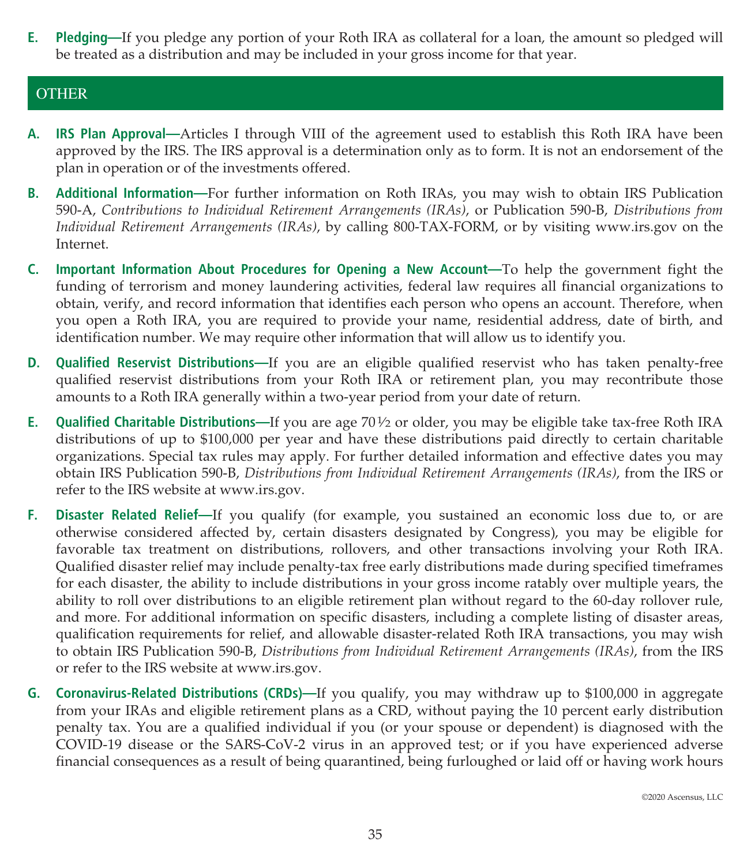**E. Pledging—**If you pledge any portion of your Roth IRA as collateral for a loan, the amount so pledged will be treated as a distribution and may be included in your gross income for that year.

# **OTHER**

- **A. IRS Plan Approval—**Articles I through VIII of the agreement used to establish this Roth IRA have been approved by the IRS. The IRS approval is a determination only as to form. It is not an endorsement of the plan in operation or of the investments offered.
- **B. Additional Information—**For further information on Roth IRAs, you may wish to obtain IRS Publication 590-A, *Contributions to Individual Retirement Arrangements (IRAs)*, or Publication 590-B, *Distributions from Individual Retirement Arrangements (IRAs)*, by calling 800-TAX-FORM, or by visiting www.irs.gov on the Internet.
- **C. Important Information About Procedures for Opening a New Account—**To help the government fight the funding of terrorism and money laundering activities, federal law requires all financial organizations to obtain, verify, and record information that identifies each person who opens an account. Therefore, when you open a Roth IRA, you are required to provide your name, residential address, date of birth, and identification number. We may require other information that will allow us to identify you.
- **D. Qualified Reservist Distributions—**If you are an eligible qualified reservist who has taken penalty-free qualified reservist distributions from your Roth IRA or retirement plan, you may recontribute those amounts to a Roth IRA generally within a two-year period from your date of return.
- **E.** Qualified Charitable Distributions—If you are age 70½ or older, you may be eligible take tax-free Roth IRA distributions of up to \$100,000 per year and have these distributions paid directly to certain charitable organizations. Special tax rules may apply. For further detailed information and effective dates you may obtain IRS Publication 590-B, *Distributions from Individual Retirement Arrangements (IRAs)*, from the IRS or refer to the IRS website at www.irs.gov.
- **F. Disaster Related Relief—**If you qualify (for example, you sustained an economic loss due to, or are otherwise considered affected by, certain disasters designated by Congress), you may be eligible for favorable tax treatment on distributions, rollovers, and other transactions involving your Roth IRA. Qualified disaster relief may include penalty-tax free early distributions made during specified timeframes for each disaster, the ability to include distributions in your gross income ratably over multiple years, the ability to roll over distributions to an eligible retirement plan without regard to the 60-day rollover rule, and more. For additional information on specific disasters, including a complete listing of disaster areas, qualification requirements for relief, and allowable disaster-related Roth IRA transactions, you may wish to obtain IRS Publication 590-B, *Distributions from Individual Retirement Arrangements (IRAs)*, from the IRS or refer to the IRS website at www.irs.gov.
- **G. Coronavirus-Related Distributions (CRDs)—**If you qualify, you may withdraw up to \$100,000 in aggregate from your IRAs and eligible retirement plans as a CRD, without paying the 10 percent early distribution penalty tax. You are a qualified individual if you (or your spouse or dependent) is diagnosed with the COVID-19 disease or the SARS-CoV-2 virus in an approved test; or if you have experienced adverse financial consequences as a result of being quarantined, being furloughed or laid off or having work hours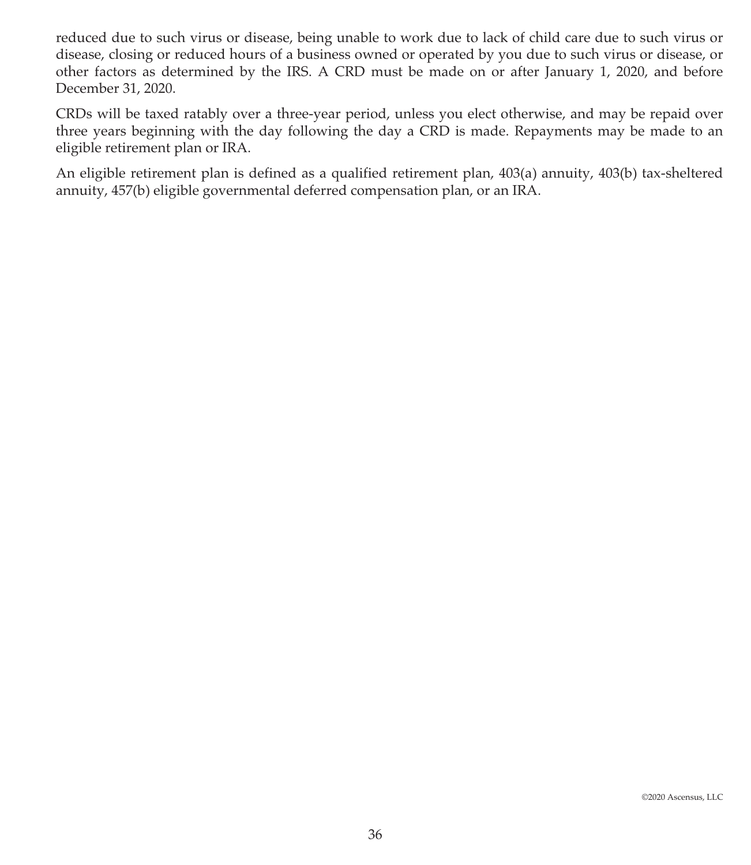reduced due to such virus or disease, being unable to work due to lack of child care due to such virus or disease, closing or reduced hours of a business owned or operated by you due to such virus or disease, or other factors as determined by the IRS. A CRD must be made on or after January 1, 2020, and before December 31, 2020.

CRDs will be taxed ratably over a three-year period, unless you elect otherwise, and may be repaid over three years beginning with the day following the day a CRD is made. Repayments may be made to an eligible retirement plan or IRA.

An eligible retirement plan is defined as a qualified retirement plan, 403(a) annuity, 403(b) tax-sheltered annuity, 457(b) eligible governmental deferred compensation plan, or an IRA.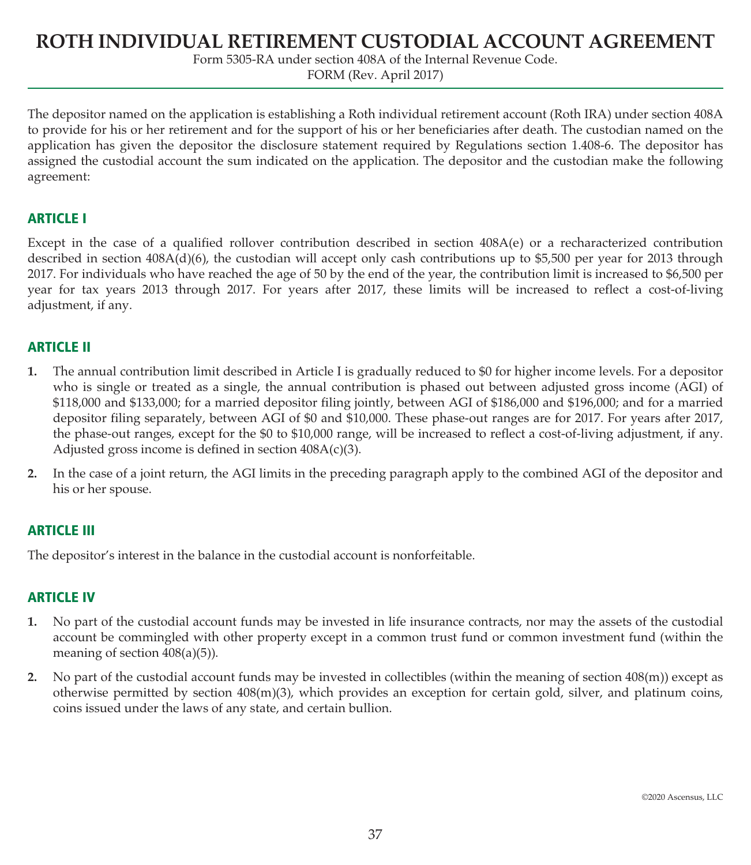# **ROTH INDIVIDUAL RETIREMENT CUSTODIAL ACCOUNT AGREEMENT**

Form 5305-RA under section 408A of the Internal Revenue Code.

FORM (Rev. April 2017)

The depositor named on the application is establishing a Roth individual retirement account (Roth IRA) under section 408A to provide for his or her retirement and for the support of his or her beneficiaries after death. The custodian named on the application has given the depositor the disclosure statement required by Regulations section 1.408-6. The depositor has assigned the custodial account the sum indicated on the application. The depositor and the custodian make the following agreement:

## **ARTICLE I**

Except in the case of a qualified rollover contribution described in section 408A(e) or a recharacterized contribution described in section 408A(d)(6), the custodian will accept only cash contributions up to \$5,500 per year for 2013 through 2017. For individuals who have reached the age of 50 by the end of the year, the contribution limit is increased to \$6,500 per year for tax years 2013 through 2017. For years after 2017, these limits will be increased to reflect a cost-of-living adjustment, if any.

# **ARTICLE II**

- **1.** The annual contribution limit described in Article I is gradually reduced to \$0 for higher income levels. For a depositor who is single or treated as a single, the annual contribution is phased out between adjusted gross income (AGI) of \$118,000 and \$133,000; for a married depositor filing jointly, between AGI of \$186,000 and \$196,000; and for a married depositor filing separately, between AGI of \$0 and \$10,000. These phase-out ranges are for 2017. For years after 2017, the phase-out ranges, except for the \$0 to \$10,000 range, will be increased to reflect a cost-of-living adjustment, if any. Adjusted gross income is defined in section 408A(c)(3).
- **2.** In the case of a joint return, the AGI limits in the preceding paragraph apply to the combined AGI of the depositor and his or her spouse.

## **ARTICLE III**

The depositor's interest in the balance in the custodial account is nonforfeitable.

## **ARTICLE IV**

- **1.** No part of the custodial account funds may be invested in life insurance contracts, nor may the assets of the custodial account be commingled with other property except in a common trust fund or common investment fund (within the meaning of section 408(a)(5)).
- **2.** No part of the custodial account funds may be invested in collectibles (within the meaning of section 408(m)) except as otherwise permitted by section  $408(m)(3)$ , which provides an exception for certain gold, silver, and platinum coins, coins issued under the laws of any state, and certain bullion.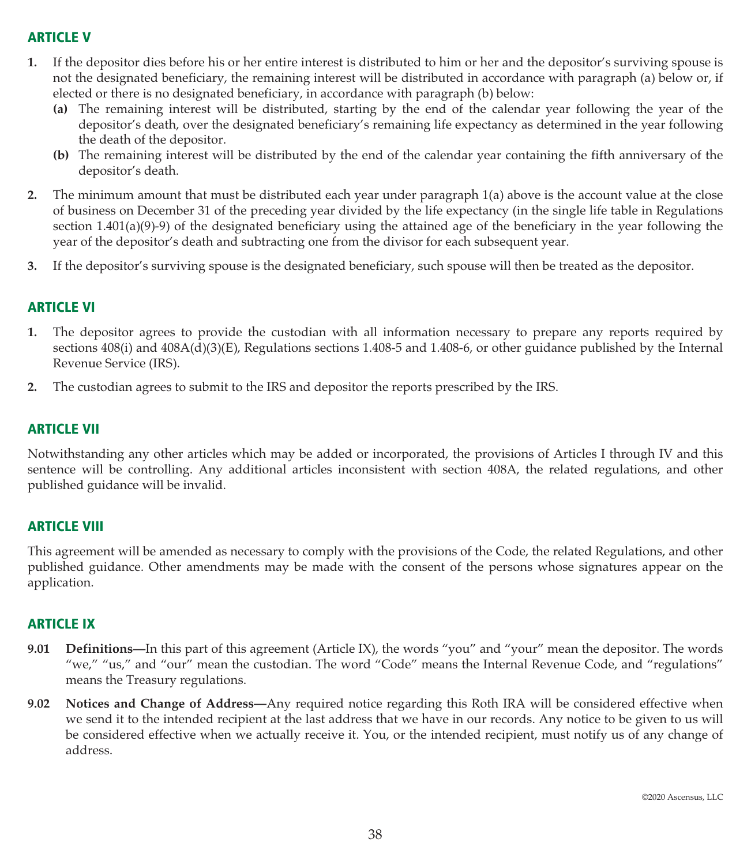# **ARTICLE V**

- **1.** If the depositor dies before his or her entire interest is distributed to him or her and the depositor's surviving spouse is not the designated beneficiary, the remaining interest will be distributed in accordance with paragraph (a) below or, if elected or there is no designated beneficiary, in accordance with paragraph (b) below:
	- **(a)** The remaining interest will be distributed, starting by the end of the calendar year following the year of the depositor's death, over the designated beneficiary's remaining life expectancy as determined in the year following the death of the depositor.
	- **(b)** The remaining interest will be distributed by the end of the calendar year containing the fifth anniversary of the depositor's death.
- **2.** The minimum amount that must be distributed each year under paragraph 1(a) above is the account value at the close of business on December 31 of the preceding year divided by the life expectancy (in the single life table in Regulations section  $1.401(a)(9)-9$  of the designated beneficiary using the attained age of the beneficiary in the year following the year of the depositor's death and subtracting one from the divisor for each subsequent year.
- **3.** If the depositor's surviving spouse is the designated beneficiary, such spouse will then be treated as the depositor.

# **ARTICLE VI**

- **1.** The depositor agrees to provide the custodian with all information necessary to prepare any reports required by sections 408(i) and 408A(d)(3)(E), Regulations sections 1.408-5 and 1.408-6, or other guidance published by the Internal Revenue Service (IRS).
- **2.** The custodian agrees to submit to the IRS and depositor the reports prescribed by the IRS.

# **ARTICLE VII**

Notwithstanding any other articles which may be added or incorporated, the provisions of Articles I through IV and this sentence will be controlling. Any additional articles inconsistent with section 408A, the related regulations, and other published guidance will be invalid.

## **ARTICLE VIII**

This agreement will be amended as necessary to comply with the provisions of the Code, the related Regulations, and other published guidance. Other amendments may be made with the consent of the persons whose signatures appear on the application.

## **ARTICLE IX**

- **9.01** Definitions—In this part of this agreement (Article IX), the words "you" and "your" mean the depositor. The words "we," "us," and "our" mean the custodian. The word "Code" means the Internal Revenue Code, and "regulations" means the Treasury regulations.
- **9.02 Notices and Change of Address—**Any required notice regarding this Roth IRA will be considered effective when we send it to the intended recipient at the last address that we have in our records. Any notice to be given to us will be considered effective when we actually receive it. You, or the intended recipient, must notify us of any change of address.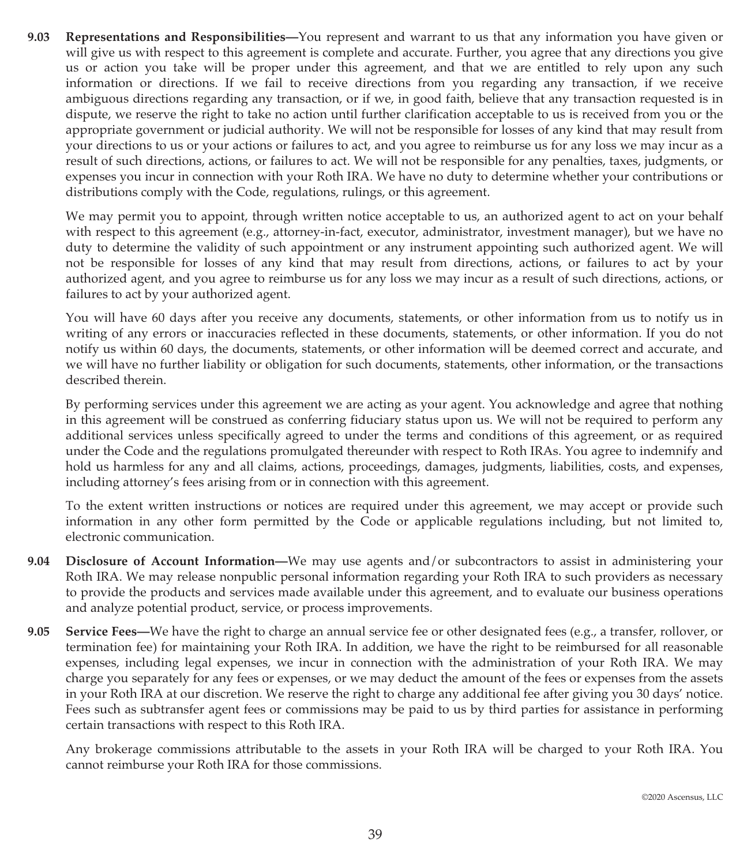**9.03 Representations and Responsibilities—**You represent and warrant to us that any information you have given or will give us with respect to this agreement is complete and accurate. Further, you agree that any directions you give us or action you take will be proper under this agreement, and that we are entitled to rely upon any such information or directions. If we fail to receive directions from you regarding any transaction, if we receive ambiguous directions regarding any transaction, or if we, in good faith, believe that any transaction requested is in dispute, we reserve the right to take no action until further clarification acceptable to us is received from you or the appropriate government or judicial authority. We will not be responsible for losses of any kind that may result from your directions to us or your actions or failures to act, and you agree to reimburse us for any loss we may incur as a result of such directions, actions, or failures to act. We will not be responsible for any penalties, taxes, judgments, or expenses you incur in connection with your Roth IRA. We have no duty to determine whether your contributions or distributions comply with the Code, regulations, rulings, or this agreement.

We may permit you to appoint, through written notice acceptable to us, an authorized agent to act on your behalf with respect to this agreement (e.g., attorney-in-fact, executor, administrator, investment manager), but we have no duty to determine the validity of such appointment or any instrument appointing such authorized agent. We will not be responsible for losses of any kind that may result from directions, actions, or failures to act by your authorized agent, and you agree to reimburse us for any loss we may incur as a result of such directions, actions, or failures to act by your authorized agent.

You will have 60 days after you receive any documents, statements, or other information from us to notify us in writing of any errors or inaccuracies reflected in these documents, statements, or other information. If you do not notify us within 60 days, the documents, statements, or other information will be deemed correct and accurate, and we will have no further liability or obligation for such documents, statements, other information, or the transactions described therein.

By performing services under this agreement we are acting as your agent. You acknowledge and agree that nothing in this agreement will be construed as conferring fiduciary status upon us. We will not be required to perform any additional services unless specifically agreed to under the terms and conditions of this agreement, or as required under the Code and the regulations promulgated thereunder with respect to Roth IRAs. You agree to indemnify and hold us harmless for any and all claims, actions, proceedings, damages, judgments, liabilities, costs, and expenses, including attorney's fees arising from or in connection with this agreement.

To the extent written instructions or notices are required under this agreement, we may accept or provide such information in any other form permitted by the Code or applicable regulations including, but not limited to, electronic communication.

- **9.04 Disclosure of Account Information—**We may use agents and/or subcontractors to assist in administering your Roth IRA. We may release nonpublic personal information regarding your Roth IRA to such providers as necessary to provide the products and services made available under this agreement, and to evaluate our business operations and analyze potential product, service, or process improvements.
- **9.05 Service Fees—**We have the right to charge an annual service fee or other designated fees (e.g., a transfer, rollover, or termination fee) for maintaining your Roth IRA. In addition, we have the right to be reimbursed for all reasonable expenses, including legal expenses, we incur in connection with the administration of your Roth IRA. We may charge you separately for any fees or expenses, or we may deduct the amount of the fees or expenses from the assets in your Roth IRA at our discretion. We reserve the right to charge any additional fee after giving you 30 days' notice. Fees such as subtransfer agent fees or commissions may be paid to us by third parties for assistance in performing certain transactions with respect to this Roth IRA.

Any brokerage commissions attributable to the assets in your Roth IRA will be charged to your Roth IRA. You cannot reimburse your Roth IRA for those commissions.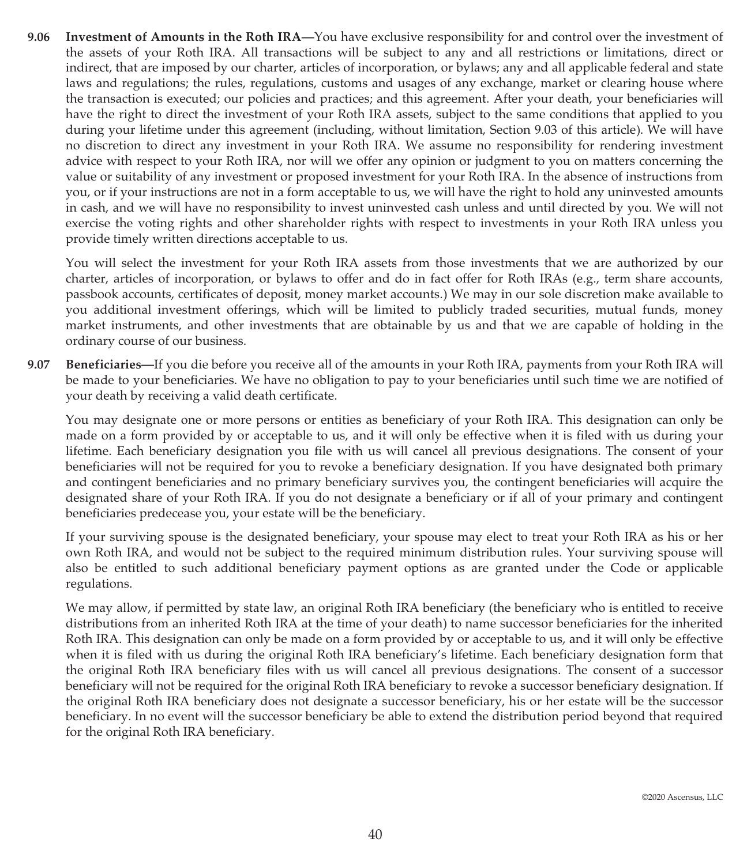**9.06 Investment of Amounts in the Roth IRA—**You have exclusive responsibility for and control over the investment of the assets of your Roth IRA. All transactions will be subject to any and all restrictions or limitations, direct or indirect, that are imposed by our charter, articles of incorporation, or bylaws; any and all applicable federal and state laws and regulations; the rules, regulations, customs and usages of any exchange, market or clearing house where the transaction is executed; our policies and practices; and this agreement. After your death, your beneficiaries will have the right to direct the investment of your Roth IRA assets, subject to the same conditions that applied to you during your lifetime under this agreement (including, without limitation, Section 9.03 of this article). We will have no discretion to direct any investment in your Roth IRA. We assume no responsibility for rendering investment advice with respect to your Roth IRA, nor will we offer any opinion or judgment to you on matters concerning the value or suitability of any investment or proposed investment for your Roth IRA. In the absence of instructions from you, or if your instructions are not in a form acceptable to us, we will have the right to hold any uninvested amounts in cash, and we will have no responsibility to invest uninvested cash unless and until directed by you. We will not exercise the voting rights and other shareholder rights with respect to investments in your Roth IRA unless you provide timely written directions acceptable to us.

You will select the investment for your Roth IRA assets from those investments that we are authorized by our charter, articles of incorporation, or bylaws to offer and do in fact offer for Roth IRAs (e.g., term share accounts, passbook accounts, certificates of deposit, money market accounts.) We may in our sole discretion make available to you additional investment offerings, which will be limited to publicly traded securities, mutual funds, money market instruments, and other investments that are obtainable by us and that we are capable of holding in the ordinary course of our business.

**9.07 Beneficiaries—**If you die before you receive all of the amounts in your Roth IRA, payments from your Roth IRA will be made to your beneficiaries. We have no obligation to pay to your beneficiaries until such time we are notified of your death by receiving a valid death certificate.

You may designate one or more persons or entities as beneficiary of your Roth IRA. This designation can only be made on a form provided by or acceptable to us, and it will only be effective when it is filed with us during your lifetime. Each beneficiary designation you file with us will cancel all previous designations. The consent of your beneficiaries will not be required for you to revoke a beneficiary designation. If you have designated both primary and contingent beneficiaries and no primary beneficiary survives you, the contingent beneficiaries will acquire the designated share of your Roth IRA. If you do not designate a beneficiary or if all of your primary and contingent beneficiaries predecease you, your estate will be the beneficiary.

If your surviving spouse is the designated beneficiary, your spouse may elect to treat your Roth IRA as his or her own Roth IRA, and would not be subject to the required minimum distribution rules. Your surviving spouse will also be entitled to such additional beneficiary payment options as are granted under the Code or applicable regulations.

We may allow, if permitted by state law, an original Roth IRA beneficiary (the beneficiary who is entitled to receive distributions from an inherited Roth IRA at the time of your death) to name successor beneficiaries for the inherited Roth IRA. This designation can only be made on a form provided by or acceptable to us, and it will only be effective when it is filed with us during the original Roth IRA beneficiary's lifetime. Each beneficiary designation form that the original Roth IRA beneficiary files with us will cancel all previous designations. The consent of a successor beneficiary will not be required for the original Roth IRA beneficiary to revoke a successor beneficiary designation. If the original Roth IRA beneficiary does not designate a successor beneficiary, his or her estate will be the successor beneficiary. In no event will the successor beneficiary be able to extend the distribution period beyond that required for the original Roth IRA beneficiary.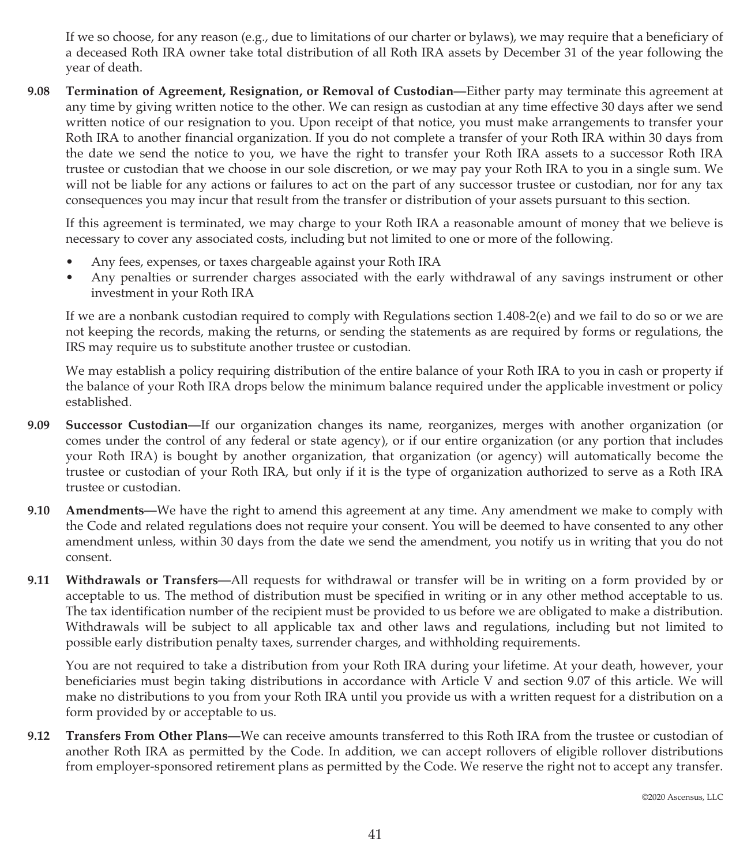If we so choose, for any reason (e.g., due to limitations of our charter or bylaws), we may require that a beneficiary of a deceased Roth IRA owner take total distribution of all Roth IRA assets by December 31 of the year following the year of death.

**9.08 Termination of Agreement, Resignation, or Removal of Custodian—**Either party may terminate this agreement at any time by giving written notice to the other. We can resign as custodian at any time effective 30 days after we send written notice of our resignation to you. Upon receipt of that notice, you must make arrangements to transfer your Roth IRA to another financial organization. If you do not complete a transfer of your Roth IRA within 30 days from the date we send the notice to you, we have the right to transfer your Roth IRA assets to a successor Roth IRA trustee or custodian that we choose in our sole discretion, or we may pay your Roth IRA to you in a single sum. We will not be liable for any actions or failures to act on the part of any successor trustee or custodian, nor for any tax consequences you may incur that result from the transfer or distribution of your assets pursuant to this section.

If this agreement is terminated, we may charge to your Roth IRA a reasonable amount of money that we believe is necessary to cover any associated costs, including but not limited to one or more of the following.

- Any fees, expenses, or taxes chargeable against your Roth IRA
- Any penalties or surrender charges associated with the early withdrawal of any savings instrument or other investment in your Roth IRA

If we are a nonbank custodian required to comply with Regulations section 1.408-2(e) and we fail to do so or we are not keeping the records, making the returns, or sending the statements as are required by forms or regulations, the IRS may require us to substitute another trustee or custodian.

We may establish a policy requiring distribution of the entire balance of your Roth IRA to you in cash or property if the balance of your Roth IRA drops below the minimum balance required under the applicable investment or policy established.

- **9.09 Successor Custodian—**If our organization changes its name, reorganizes, merges with another organization (or comes under the control of any federal or state agency), or if our entire organization (or any portion that includes your Roth IRA) is bought by another organization, that organization (or agency) will automatically become the trustee or custodian of your Roth IRA, but only if it is the type of organization authorized to serve as a Roth IRA trustee or custodian.
- **9.10 Amendments—**We have the right to amend this agreement at any time. Any amendment we make to comply with the Code and related regulations does not require your consent. You will be deemed to have consented to any other amendment unless, within 30 days from the date we send the amendment, you notify us in writing that you do not consent.
- **9.11 Withdrawals or Transfers—**All requests for withdrawal or transfer will be in writing on a form provided by or acceptable to us. The method of distribution must be specified in writing or in any other method acceptable to us. The tax identification number of the recipient must be provided to us before we are obligated to make a distribution. Withdrawals will be subject to all applicable tax and other laws and regulations, including but not limited to possible early distribution penalty taxes, surrender charges, and withholding requirements.

You are not required to take a distribution from your Roth IRA during your lifetime. At your death, however, your beneficiaries must begin taking distributions in accordance with Article V and section 9.07 of this article. We will make no distributions to you from your Roth IRA until you provide us with a written request for a distribution on a form provided by or acceptable to us.

**9.12 Transfers From Other Plans—**We can receive amounts transferred to this Roth IRA from the trustee or custodian of another Roth IRA as permitted by the Code. In addition, we can accept rollovers of eligible rollover distributions from employer-sponsored retirement plans as permitted by the Code. We reserve the right not to accept any transfer.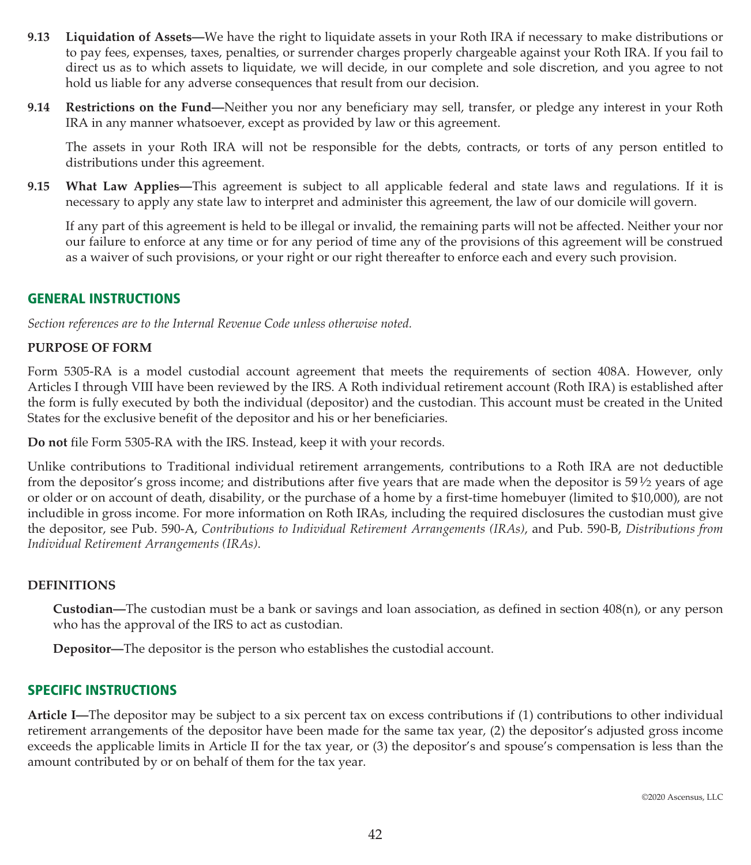- **9.13 Liquidation of Assets—**We have the right to liquidate assets in your Roth IRA if necessary to make distributions or to pay fees, expenses, taxes, penalties, or surrender charges properly chargeable against your Roth IRA. If you fail to direct us as to which assets to liquidate, we will decide, in our complete and sole discretion, and you agree to not hold us liable for any adverse consequences that result from our decision.
- **9.14 Restrictions on the Fund—**Neither you nor any beneficiary may sell, transfer, or pledge any interest in your Roth IRA in any manner whatsoever, except as provided by law or this agreement.

The assets in your Roth IRA will not be responsible for the debts, contracts, or torts of any person entitled to distributions under this agreement.

**9.15 What Law Applies—**This agreement is subject to all applicable federal and state laws and regulations. If it is necessary to apply any state law to interpret and administer this agreement, the law of our domicile will govern.

If any part of this agreement is held to be illegal or invalid, the remaining parts will not be affected. Neither your nor our failure to enforce at any time or for any period of time any of the provisions of this agreement will be construed as a waiver of such provisions, or your right or our right thereafter to enforce each and every such provision.

#### **GENERAL INSTRUCTIONS**

*Section references are to the Internal Revenue Code unless otherwise noted.*

#### **PURPOSE OF FORM**

Form 5305-RA is a model custodial account agreement that meets the requirements of section 408A. However, only Articles I through VIII have been reviewed by the IRS. A Roth individual retirement account (Roth IRA) is established after the form is fully executed by both the individual (depositor) and the custodian. This account must be created in the United States for the exclusive benefit of the depositor and his or her beneficiaries.

**Do not** file Form 5305-RA with the IRS. Instead, keep it with your records.

Unlike contributions to Traditional individual retirement arrangements, contributions to a Roth IRA are not deductible from the depositor's gross income; and distributions after five years that are made when the depositor is  $59\frac{1}{2}$  years of age or older or on account of death, disability, or the purchase of a home by a first-time homebuyer (limited to \$10,000), are not includible in gross income. For more information on Roth IRAs, including the required disclosures the custodian must give the depositor, see Pub. 590-A, *Contributions to Individual Retirement Arrangements (IRAs)*, and Pub. 590-B, *Distributions from Individual Retirement Arrangements (IRAs)*.

#### **DEFINITIONS**

**Custodian—**The custodian must be a bank or savings and loan association, as defined in section 408(n), or any person who has the approval of the IRS to act as custodian.

**Depositor—**The depositor is the person who establishes the custodial account.

#### **SPECIFIC INSTRUCTIONS**

**Article I—**The depositor may be subject to a six percent tax on excess contributions if (1) contributions to other individual retirement arrangements of the depositor have been made for the same tax year, (2) the depositor's adjusted gross income exceeds the applicable limits in Article II for the tax year, or (3) the depositor's and spouse's compensation is less than the amount contributed by or on behalf of them for the tax year.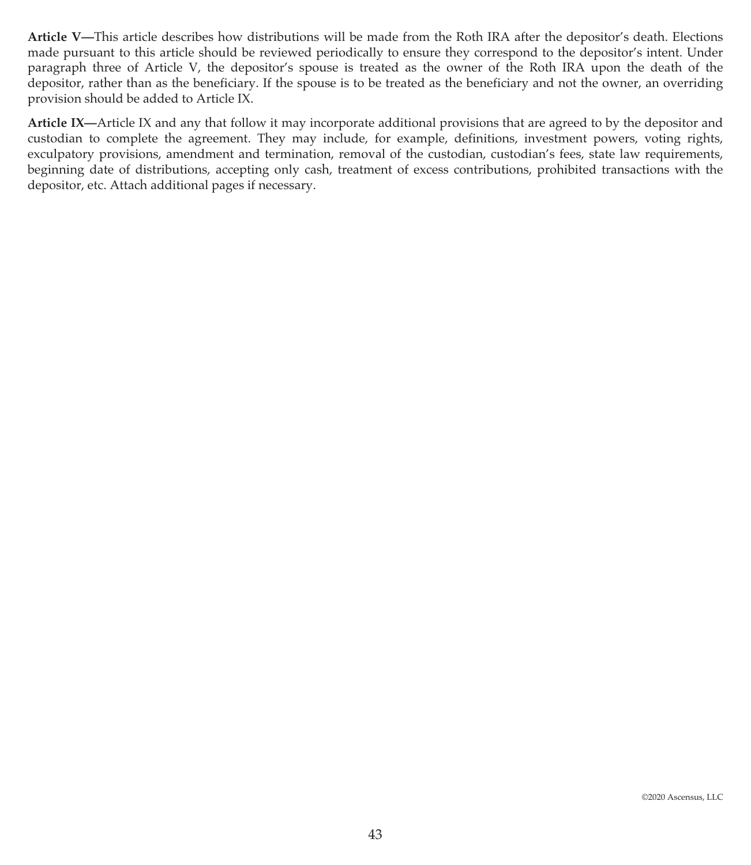**Article V—**This article describes how distributions will be made from the Roth IRA after the depositor's death. Elections made pursuant to this article should be reviewed periodically to ensure they correspond to the depositor's intent. Under paragraph three of Article V, the depositor's spouse is treated as the owner of the Roth IRA upon the death of the depositor, rather than as the beneficiary. If the spouse is to be treated as the beneficiary and not the owner, an overriding provision should be added to Article IX.

**Article IX—**Article IX and any that follow it may incorporate additional provisions that are agreed to by the depositor and custodian to complete the agreement. They may include, for example, definitions, investment powers, voting rights, exculpatory provisions, amendment and termination, removal of the custodian, custodian's fees, state law requirements, beginning date of distributions, accepting only cash, treatment of excess contributions, prohibited transactions with the depositor, etc. Attach additional pages if necessary.